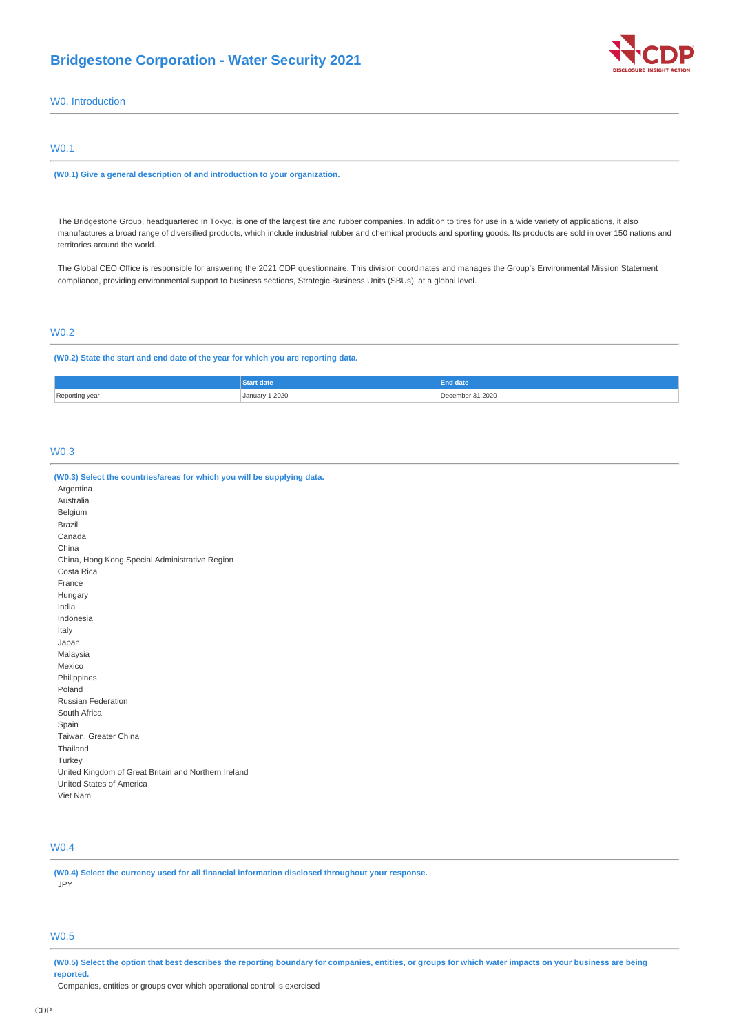# **Bridgestone Corporation - Water Security 2021**



W0. Introduction

## W0.1

**(W0.1) Give a general description of and introduction to your organization.**

The Bridgestone Group, headquartered in Tokyo, is one of the largest tire and rubber companies. In addition to tires for use in a wide variety of applications, it also manufactures a broad range of diversified products, which include industrial rubber and chemical products and sporting goods. Its products are sold in over 150 nations and territories around the world.

The Global CEO Office is responsible for answering the 2021 CDP questionnaire. This division coordinates and manages the Group's Environmental Mission Statement compliance, providing environmental support to business sections, Strategic Business Units (SBUs), at a global level.

# W0.2

**(W0.2) State the start and end date of the year for which you are reporting data.**

|            |                | End date |
|------------|----------------|----------|
| Reporting, | January 1 2020 | 31 2020  |
| vca        |                | ember    |
| .          |                |          |

## W0.3

| (W0.3) Select the countries/areas for which you will be supplying data. |
|-------------------------------------------------------------------------|
| Argentina                                                               |
| Australia                                                               |
| Belgium                                                                 |
| Brazil                                                                  |
| Canada                                                                  |
| China                                                                   |
| China, Hong Kong Special Administrative Region                          |
| Costa Rica                                                              |
| France                                                                  |
| Hungary                                                                 |
| India                                                                   |
| Indonesia                                                               |
| Italy                                                                   |
| Japan                                                                   |
| Malaysia                                                                |
| Mexico                                                                  |
| Philippines                                                             |
| Poland                                                                  |
| Russian Federation                                                      |
| South Africa                                                            |
| Spain                                                                   |
| Taiwan, Greater China                                                   |
| Thailand                                                                |
| Turkey                                                                  |
| United Kingdom of Great Britain and Northern Ireland                    |
| United States of America                                                |
| Viet Nam                                                                |

## W0.4

**(W0.4) Select the currency used for all financial information disclosed throughout your response.** JPY

## W0.5

**(W0.5) Select the option that best describes the reporting boundary for companies, entities, or groups for which water impacts on your business are being reported.**

Companies, entities or groups over which operational control is exercised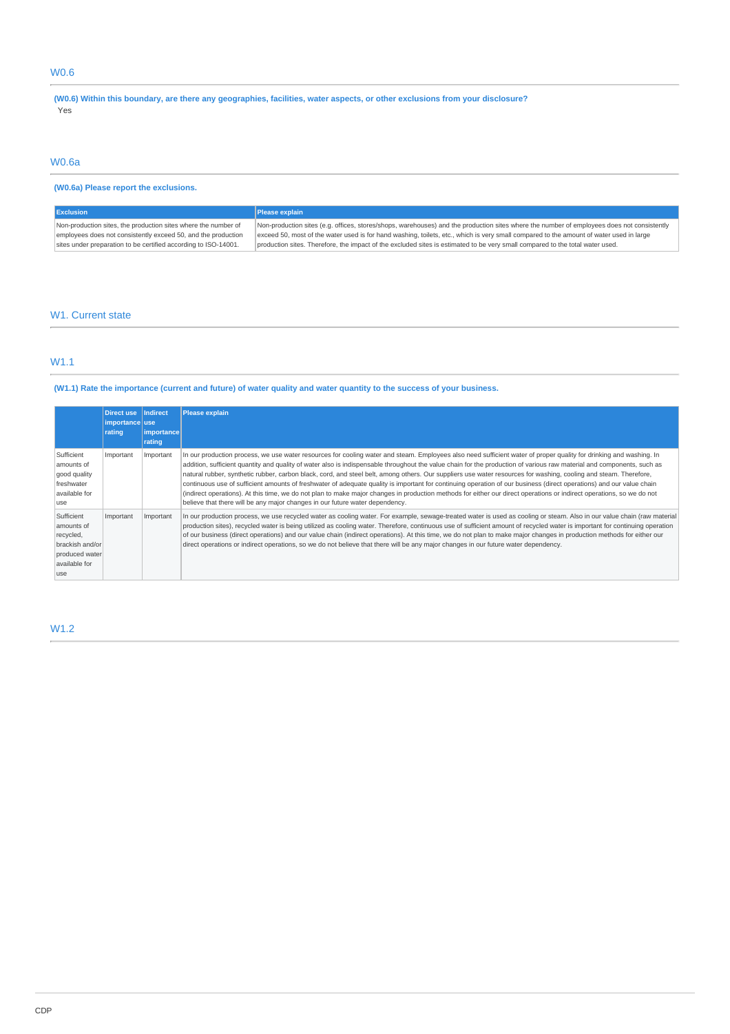# W0.6

**(W0.6) Within this boundary, are there any geographies, facilities, water aspects, or other exclusions from your disclosure?** Yes

## W0.6a

# **(W0.6a) Please report the exclusions.**

| <b>Exclusion</b>                                                | Please explain                                                                                                                             |
|-----------------------------------------------------------------|--------------------------------------------------------------------------------------------------------------------------------------------|
| Non-production sites, the production sites where the number of  | Non-production sites (e.g. offices, stores/shops, warehouses) and the production sites where the number of employees does not consistently |
| employees does not consistently exceed 50, and the production   | exceed 50, most of the water used is for hand washing, toilets, etc., which is very small compared to the amount of water used in large    |
| sites under preparation to be certified according to ISO-14001. | production sites. Therefore, the impact of the excluded sites is estimated to be very small compared to the total water used.              |

## W1. Current state

## W1.1

## **(W1.1) Rate the importance (current and future) of water quality and water quantity to the success of your business.**

|                                                                                                     | <b>Direct use</b><br>importance use<br>rating | Indirect<br> importance | <b>Please explain</b>                                                                                                                                                                                                                                                                                                                                                                                                                                                                                                                                                                                                                                                                                                                                                                                                                                                                                                                             |
|-----------------------------------------------------------------------------------------------------|-----------------------------------------------|-------------------------|---------------------------------------------------------------------------------------------------------------------------------------------------------------------------------------------------------------------------------------------------------------------------------------------------------------------------------------------------------------------------------------------------------------------------------------------------------------------------------------------------------------------------------------------------------------------------------------------------------------------------------------------------------------------------------------------------------------------------------------------------------------------------------------------------------------------------------------------------------------------------------------------------------------------------------------------------|
|                                                                                                     |                                               | rating                  |                                                                                                                                                                                                                                                                                                                                                                                                                                                                                                                                                                                                                                                                                                                                                                                                                                                                                                                                                   |
| Sufficient<br>amounts of<br>good quality<br>freshwater<br>available for<br>use                      | Important                                     | Important               | In our production process, we use water resources for cooling water and steam. Employees also need sufficient water of proper quality for drinking and washing. In<br>addition, sufficient quantity and quality of water also is indispensable throughout the value chain for the production of various raw material and components, such as<br>natural rubber, synthetic rubber, carbon black, cord, and steel belt, among others. Our suppliers use water resources for washing, cooling and steam. Therefore,<br>continuous use of sufficient amounts of freshwater of adequate quality is important for continuing operation of our business (direct operations) and our value chain<br>(indirect operations). At this time, we do not plan to make major changes in production methods for either our direct operations or indirect operations, so we do not<br>believe that there will be any major changes in our future water dependency. |
| Sufficient<br>amounts of<br>recycled,<br>brackish and/or<br>produced water<br>available for<br>luse | Important                                     | Important               | In our production process, we use recycled water as cooling water. For example, sewage-treated water is used as cooling or steam. Also in our value chain (raw material<br>production sites), recycled water is being utilized as cooling water. Therefore, continuous use of sufficient amount of recycled water is important for continuing operation<br>of our business (direct operations) and our value chain (indirect operations). At this time, we do not plan to make major changes in production methods for either our<br>direct operations or indirect operations, so we do not believe that there will be any major changes in our future water dependency.                                                                                                                                                                                                                                                                          |

# W1.2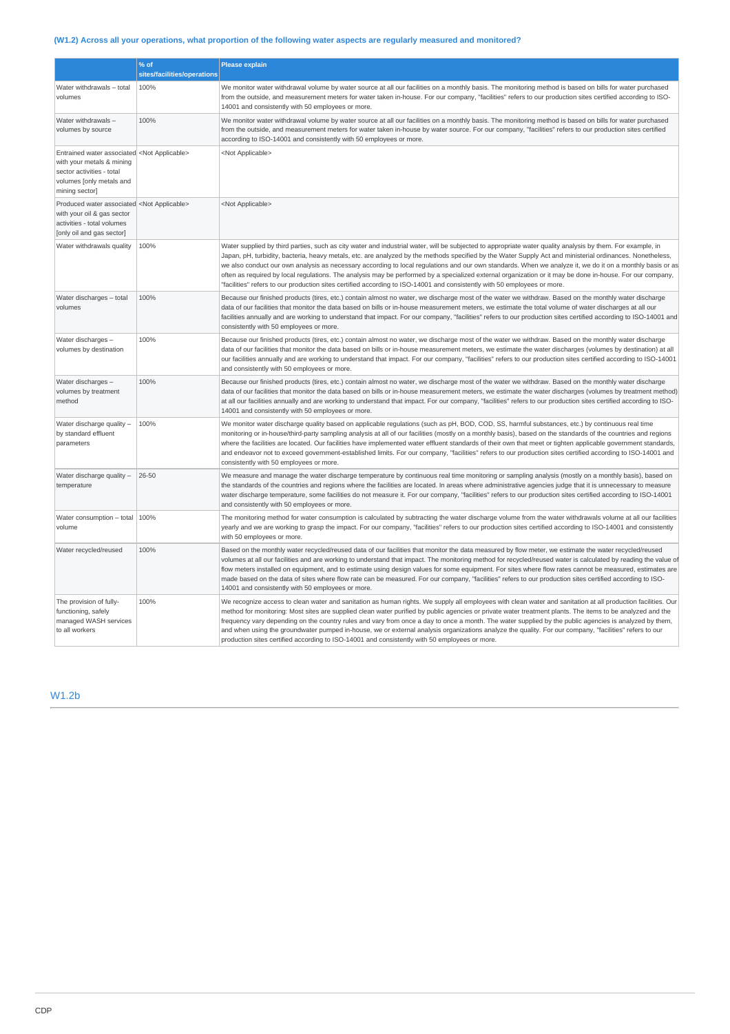# **(W1.2) Across all your operations, what proportion of the following water aspects are regularly measured and monitored?**

|                                                                                                                                                                      | % of                        | <b>Please explain</b>                                                                                                                                                                                                                                                                                                                                                                                                                                                                                                                                                                                                                                                                                                                                                         |
|----------------------------------------------------------------------------------------------------------------------------------------------------------------------|-----------------------------|-------------------------------------------------------------------------------------------------------------------------------------------------------------------------------------------------------------------------------------------------------------------------------------------------------------------------------------------------------------------------------------------------------------------------------------------------------------------------------------------------------------------------------------------------------------------------------------------------------------------------------------------------------------------------------------------------------------------------------------------------------------------------------|
|                                                                                                                                                                      | sites/facilities/operations |                                                                                                                                                                                                                                                                                                                                                                                                                                                                                                                                                                                                                                                                                                                                                                               |
| Water withdrawals - total<br>volumes                                                                                                                                 | 100%                        | We monitor water withdrawal volume by water source at all our facilities on a monthly basis. The monitoring method is based on bills for water purchased<br>from the outside, and measurement meters for water taken in-house. For our company, "facilities" refers to our production sites certified according to ISO-<br>14001 and consistently with 50 employees or more.                                                                                                                                                                                                                                                                                                                                                                                                  |
| Water withdrawals-<br>volumes by source                                                                                                                              | 100%                        | We monitor water withdrawal volume by water source at all our facilities on a monthly basis. The monitoring method is based on bills for water purchased<br>from the outside, and measurement meters for water taken in-house by water source. For our company, "facilities" refers to our production sites certified<br>according to ISO-14001 and consistently with 50 employees or more.                                                                                                                                                                                                                                                                                                                                                                                   |
| Entrained water associated <not applicable=""><br/>with your metals &amp; mining<br/>sector activities - total<br/>volumes [only metals and<br/>mining sector]</not> |                             | <not applicable=""></not>                                                                                                                                                                                                                                                                                                                                                                                                                                                                                                                                                                                                                                                                                                                                                     |
| Produced water associated <not applicable=""><br/>with your oil &amp; gas sector<br/>activities - total volumes<br/>[only oil and gas sector]</not>                  |                             | <not applicable=""></not>                                                                                                                                                                                                                                                                                                                                                                                                                                                                                                                                                                                                                                                                                                                                                     |
| Water withdrawals quality                                                                                                                                            | 100%                        | Water supplied by third parties, such as city water and industrial water, will be subjected to appropriate water quality analysis by them. For example, in<br>Japan, pH, turbidity, bacteria, heavy metals, etc. are analyzed by the methods specified by the Water Supply Act and ministerial ordinances. Nonetheless,<br>we also conduct our own analysis as necessary according to local regulations and our own standards. When we analyze it, we do it on a monthly basis or as<br>often as required by local regulations. The analysis may be performed by a specialized external organization or it may be done in-house. For our company,<br>"facilities" refers to our production sites certified according to ISO-14001 and consistently with 50 employees or more. |
| Water discharges - total<br>volumes                                                                                                                                  | 100%                        | Because our finished products (tires, etc.) contain almost no water, we discharge most of the water we withdraw. Based on the monthly water discharge<br>data of our facilities that monitor the data based on bills or in-house measurement meters, we estimate the total volume of water discharges at all our<br>facilities annually and are working to understand that impact. For our company, "facilities" refers to our production sites certified according to ISO-14001 and<br>consistently with 50 employees or more.                                                                                                                                                                                                                                               |
| Water discharges -<br>volumes by destination                                                                                                                         | 100%                        | Because our finished products (tires, etc.) contain almost no water, we discharge most of the water we withdraw. Based on the monthly water discharge<br>data of our facilities that monitor the data based on bills or in-house measurement meters, we estimate the water discharges (volumes by destination) at all<br>our facilities annually and are working to understand that impact. For our company, "facilities" refers to our production sites certified according to ISO-14001<br>and consistently with 50 employees or more.                                                                                                                                                                                                                                      |
| Water discharges -<br>volumes by treatment<br>method                                                                                                                 | 100%                        | Because our finished products (tires, etc.) contain almost no water, we discharge most of the water we withdraw. Based on the monthly water discharge<br>data of our facilities that monitor the data based on bills or in-house measurement meters, we estimate the water discharges (volumes by treatment method)<br>at all our facilities annually and are working to understand that impact. For our company, "facilities" refers to our production sites certified according to ISO-<br>14001 and consistently with 50 employees or more.                                                                                                                                                                                                                                |
| Water discharge quality -<br>by standard effluent<br>parameters                                                                                                      | 100%                        | We monitor water discharge quality based on applicable regulations (such as pH, BOD, COD, SS, harmful substances, etc.) by continuous real time<br>monitoring or in-house/third-party sampling analysis at all of our facilities (mostly on a monthly basis), based on the standards of the countries and regions<br>where the facilities are located. Our facilities have implemented water effluent standards of their own that meet or tighten applicable government standards,<br>and endeavor not to exceed government-established limits. For our company, "facilities" refers to our production sites certified according to ISO-14001 and<br>consistently with 50 employees or more.                                                                                  |
| Water discharge quality -<br>temperature                                                                                                                             | 26-50                       | We measure and manage the water discharge temperature by continuous real time monitoring or sampling analysis (mostly on a monthly basis), based on<br>the standards of the countries and regions where the facilities are located. In areas where administrative agencies judge that it is unnecessary to measure<br>water discharge temperature, some facilities do not measure it. For our company, "facilities" refers to our production sites certified according to ISO-14001<br>and consistently with 50 employees or more.                                                                                                                                                                                                                                            |
| Water consumption - total $ 100\%$<br>volume                                                                                                                         |                             | The monitoring method for water consumption is calculated by subtracting the water discharge volume from the water withdrawals volume at all our facilities<br>yearly and we are working to grasp the impact. For our company, "facilities" refers to our production sites certified according to ISO-14001 and consistently<br>with 50 employees or more.                                                                                                                                                                                                                                                                                                                                                                                                                    |
| Water recycled/reused                                                                                                                                                | 100%                        | Based on the monthly water recycled/reused data of our facilities that monitor the data measured by flow meter, we estimate the water recycled/reused<br>volumes at all our facilities and are working to understand that impact. The monitoring method for recycled/reused water is calculated by reading the value of<br>flow meters installed on equipment, and to estimate using design values for some equipment. For sites where flow rates cannot be measured, estimates are<br>made based on the data of sites where flow rate can be measured. For our company, "facilities" refers to our production sites certified according to ISO-<br>14001 and consistently with 50 employees or more.                                                                         |
| The provision of fully-<br>functioning, safely<br>managed WASH services<br>to all workers                                                                            | 100%                        | We recognize access to clean water and sanitation as human rights. We supply all employees with clean water and sanitation at all production facilities. Our<br>method for monitoring: Most sites are supplied clean water purified by public agencies or private water treatment plants. The items to be analyzed and the<br>frequency vary depending on the country rules and vary from once a day to once a month. The water supplied by the public agencies is analyzed by them,<br>and when using the groundwater pumped in-house, we or external analysis organizations analyze the quality. For our company, "facilities" refers to our<br>production sites certified according to ISO-14001 and consistently with 50 employees or more.                               |

W1.2b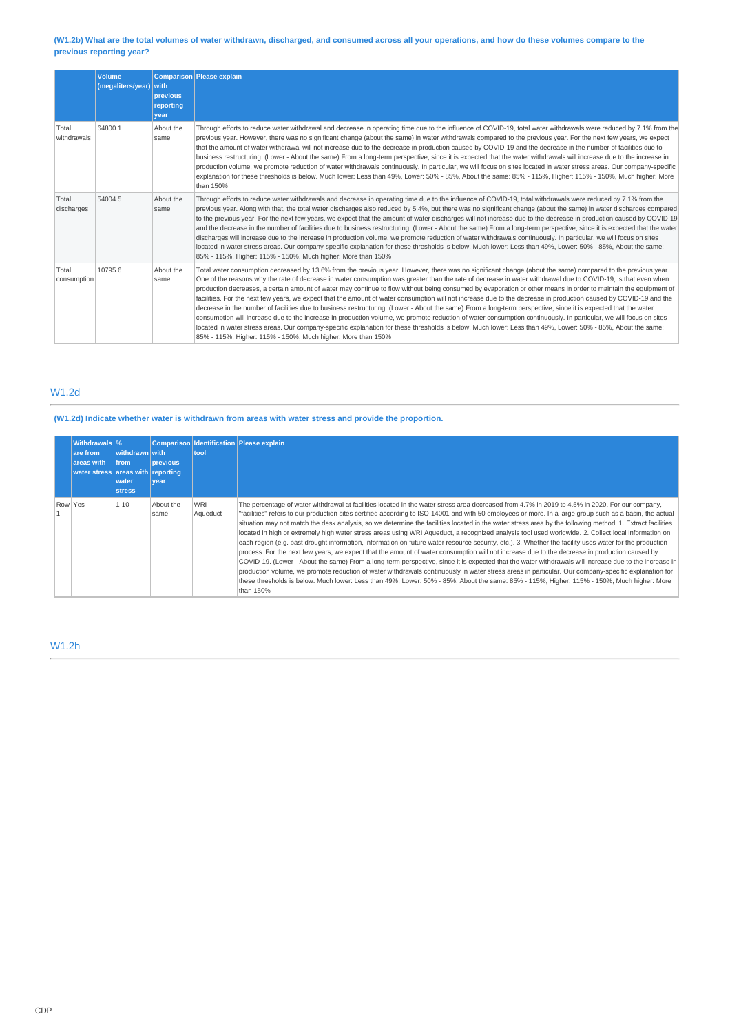## **(W1.2b) What are the total volumes of water withdrawn, discharged, and consumed across all your operations, and how do these volumes compare to the previous reporting year?**

|                      | Volume<br>(megaliters/year) with | previous<br>reporting<br>year | Comparison Please explain                                                                                                                                                                                                                                                                                                                                                                                                                                                                                                                                                                                                                                                                                                                                                                                                                                                                                                                                                                                                                                                                                                                                                                                                                  |
|----------------------|----------------------------------|-------------------------------|--------------------------------------------------------------------------------------------------------------------------------------------------------------------------------------------------------------------------------------------------------------------------------------------------------------------------------------------------------------------------------------------------------------------------------------------------------------------------------------------------------------------------------------------------------------------------------------------------------------------------------------------------------------------------------------------------------------------------------------------------------------------------------------------------------------------------------------------------------------------------------------------------------------------------------------------------------------------------------------------------------------------------------------------------------------------------------------------------------------------------------------------------------------------------------------------------------------------------------------------|
| Total<br>withdrawals | 64800.1                          | About the<br>same             | Through efforts to reduce water withdrawal and decrease in operating time due to the influence of COVID-19, total water withdrawals were reduced by 7.1% from the<br>previous year. However, there was no significant change (about the same) in water withdrawals compared to the previous year. For the next few years, we expect<br>that the amount of water withdrawal will not increase due to the decrease in production caused by COVID-19 and the decrease in the number of facilities due to<br>business restructuring. (Lower - About the same) From a long-term perspective, since it is expected that the water withdrawals will increase due to the increase in<br>production volume, we promote reduction of water withdrawals continuously. In particular, we will focus on sites located in water stress areas. Our company-specific<br>explanation for these thresholds is below. Much lower: Less than 49%, Lower: 50% - 85%, About the same: 85% - 115%, Higher: 115% - 150%, Much higher: More<br>than 150%                                                                                                                                                                                                            |
| Total<br>discharges  | 54004.5                          | About the<br>same             | Through efforts to reduce water withdrawals and decrease in operating time due to the influence of COVID-19, total withdrawals were reduced by 7.1% from the<br>previous year. Along with that, the total water discharges also reduced by 5.4%, but there was no significant change (about the same) in water discharges compared<br>to the previous year. For the next few years, we expect that the amount of water discharges will not increase due to the decrease in production caused by COVID-19<br>and the decrease in the number of facilities due to business restructuring. (Lower - About the same) From a long-term perspective, since it is expected that the water<br>discharges will increase due to the increase in production volume, we promote reduction of water withdrawals continuously. In particular, we will focus on sites<br>located in water stress areas. Our company-specific explanation for these thresholds is below. Much lower: Less than 49%, Lower: 50% - 85%, About the same:<br>85% - 115%, Higher: 115% - 150%, Much higher: More than 150%                                                                                                                                                      |
| Total<br>consumption | 10795.6                          | About the<br>same             | Total water consumption decreased by 13.6% from the previous year. However, there was no significant change (about the same) compared to the previous year.<br>One of the reasons why the rate of decrease in water consumption was greater than the rate of decrease in water withdrawal due to COVID-19, is that even when<br>production decreases, a certain amount of water may continue to flow without being consumed by evaporation or other means in order to maintain the equipment of<br>facilities. For the next few years, we expect that the amount of water consumption will not increase due to the decrease in production caused by COVID-19 and the<br>decrease in the number of facilities due to business restructuring. (Lower - About the same) From a long-term perspective, since it is expected that the water<br>consumption will increase due to the increase in production volume, we promote reduction of water consumption continuously. In particular, we will focus on sites<br>located in water stress areas. Our company-specific explanation for these thresholds is below. Much lower: Less than 49%, Lower: 50% - 85%, About the same:<br>85% - 115%, Higher: 115% - 150%, Much higher: More than 150% |

## W1.2d

# **(W1.2d) Indicate whether water is withdrawn from areas with water stress and provide the proportion.**

| Withdrawals \%<br>are from<br>areas with<br>water stress areas with reporting | withdrawn with<br><b>Ifrom</b><br>water<br><b>stress</b> | <b>previous</b><br>vear | tool                   | Comparison Identification Please explain                                                                                                                                                                                                                                                                                                                                                                                                                                                                                                                                                                                                                                                                                                                                                                                                                                                                                                                                                                                                                                                                                                                                                                                                                                                                                                                                                                               |
|-------------------------------------------------------------------------------|----------------------------------------------------------|-------------------------|------------------------|------------------------------------------------------------------------------------------------------------------------------------------------------------------------------------------------------------------------------------------------------------------------------------------------------------------------------------------------------------------------------------------------------------------------------------------------------------------------------------------------------------------------------------------------------------------------------------------------------------------------------------------------------------------------------------------------------------------------------------------------------------------------------------------------------------------------------------------------------------------------------------------------------------------------------------------------------------------------------------------------------------------------------------------------------------------------------------------------------------------------------------------------------------------------------------------------------------------------------------------------------------------------------------------------------------------------------------------------------------------------------------------------------------------------|
| Row Yes                                                                       | $1 - 10$                                                 | About the<br>same       | <b>WRI</b><br>Aqueduct | The percentage of water withdrawal at facilities located in the water stress area decreased from 4.7% in 2019 to 4.5% in 2020. For our company,<br>"facilities" refers to our production sites certified according to ISO-14001 and with 50 employees or more. In a large group such as a basin, the actual<br>situation may not match the desk analysis, so we determine the facilities located in the water stress area by the following method. 1. Extract facilities<br>located in high or extremely high water stress areas using WRI Agueduct, a recognized analysis tool used worldwide. 2. Collect local information on<br>each region (e.g. past drought information, information on future water resource security, etc.). 3. Whether the facility uses water for the production<br>process. For the next few years, we expect that the amount of water consumption will not increase due to the decrease in production caused by<br>COVID-19. (Lower - About the same) From a long-term perspective, since it is expected that the water withdrawals will increase due to the increase in<br>production volume, we promote reduction of water withdrawals continuously in water stress areas in particular. Our company-specific explanation for<br>these thresholds is below. Much lower: Less than 49%, Lower: 50% - 85%, About the same: 85% - 115%, Higher: 115% - 150%, Much higher: More<br>than 150% |

## W1.2h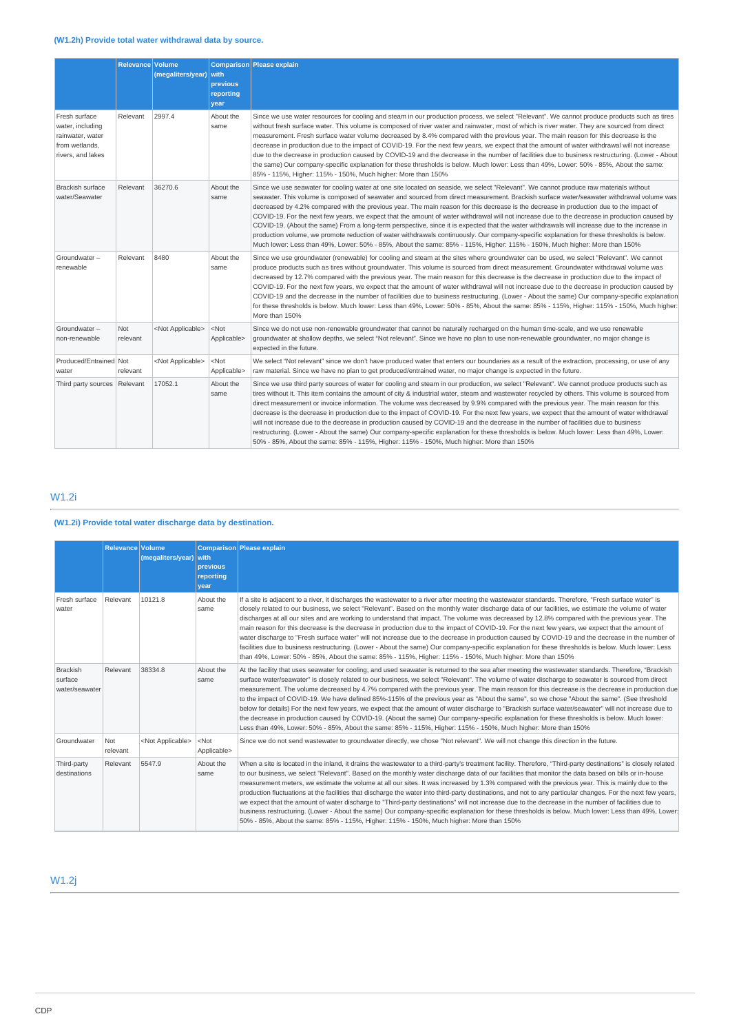|                                                                                              | <b>Relevance   Volume</b> | (megaliters/year)         | with<br>previous<br>reporting<br>year | Comparison Please explain                                                                                                                                                                                                                                                                                                                                                                                                                                                                                                                                                                                                                                                                                                                                                                                                                                                                                                                                                                                 |
|----------------------------------------------------------------------------------------------|---------------------------|---------------------------|---------------------------------------|-----------------------------------------------------------------------------------------------------------------------------------------------------------------------------------------------------------------------------------------------------------------------------------------------------------------------------------------------------------------------------------------------------------------------------------------------------------------------------------------------------------------------------------------------------------------------------------------------------------------------------------------------------------------------------------------------------------------------------------------------------------------------------------------------------------------------------------------------------------------------------------------------------------------------------------------------------------------------------------------------------------|
| Fresh surface<br>water, including<br>rainwater, water<br>from wetlands.<br>rivers, and lakes | Relevant                  | 2997.4                    | About the<br>same                     | Since we use water resources for cooling and steam in our production process, we select "Relevant". We cannot produce products such as tires<br>without fresh surface water. This volume is composed of river water and rainwater, most of which is river water. They are sourced from direct<br>measurement. Fresh surface water volume decreased by 8.4% compared with the previous year. The main reason for this decrease is the<br>decrease in production due to the impact of COVID-19. For the next few years, we expect that the amount of water withdrawal will not increase<br>due to the decrease in production caused by COVID-19 and the decrease in the number of facilities due to business restructuring. (Lower - About<br>the same) Our company-specific explanation for these thresholds is below. Much lower: Less than 49%, Lower: 50% - 85%, About the same:<br>85% - 115%, Higher: 115% - 150%, Much higher: More than 150%                                                        |
| <b>Brackish surface</b><br>water/Seawater                                                    | Relevant                  | 36270.6                   | About the<br>same                     | Since we use seawater for cooling water at one site located on seaside, we select "Relevant". We cannot produce raw materials without<br>seawater. This volume is composed of seawater and sourced from direct measurement. Brackish surface water/seawater withdrawal volume was<br>decreased by 4.2% compared with the previous year. The main reason for this decrease is the decrease in production due to the impact of<br>COVID-19. For the next few years, we expect that the amount of water withdrawal will not increase due to the decrease in production caused by<br>COVID-19. (About the same) From a long-term perspective, since it is expected that the water withdrawals will increase due to the increase in<br>production volume, we promote reduction of water withdrawals continuously. Our company-specific explanation for these thresholds is below.<br>Much lower: Less than 49%, Lower: 50% - 85%, About the same: 85% - 115%, Higher: 115% - 150%, Much higher: More than 150% |
| Groundwater-<br>renewable                                                                    | Relevant                  | 8480                      | About the<br>same                     | Since we use groundwater (renewable) for cooling and steam at the sites where groundwater can be used, we select "Relevant". We cannot<br>produce products such as tires without groundwater. This volume is sourced from direct measurement. Groundwater withdrawal volume was<br>decreased by 12.7% compared with the previous year. The main reason for this decrease is the decrease in production due to the impact of<br>COVID-19. For the next few years, we expect that the amount of water withdrawal will not increase due to the decrease in production caused by<br>COVID-19 and the decrease in the number of facilities due to business restructuring. (Lower - About the same) Our company-specific explanation<br>for these thresholds is below. Much lower: Less than 49%, Lower: 50% - 85%, About the same: 85% - 115%, Higher: 115% - 150%, Much higher:<br>More than 150%                                                                                                             |
| Groundwater-<br>non-renewable                                                                | <b>Not</b><br>relevant    | <not applicable=""></not> | $<$ Not<br>Applicable>                | Since we do not use non-renewable groundwater that cannot be naturally recharged on the human time-scale, and we use renewable<br>groundwater at shallow depths, we select "Not relevant". Since we have no plan to use non-renewable groundwater, no major change is<br>expected in the future.                                                                                                                                                                                                                                                                                                                                                                                                                                                                                                                                                                                                                                                                                                          |
| Produced/Entrained Not<br>water                                                              | relevant                  | <not applicable=""></not> | $<$ Not<br>Applicable>                | We select "Not relevant" since we don't have produced water that enters our boundaries as a result of the extraction, processing, or use of any<br>raw material. Since we have no plan to get produced/entrained water, no major change is expected in the future.                                                                                                                                                                                                                                                                                                                                                                                                                                                                                                                                                                                                                                                                                                                                        |
| Third party sources Relevant                                                                 |                           | 17052.1                   | About the<br>same                     | Since we use third party sources of water for cooling and steam in our production, we select "Relevant". We cannot produce products such as<br>tires without it. This item contains the amount of city & industrial water, steam and wastewater recycled by others. This volume is sourced from<br>direct measurement or invoice information. The volume was decreased by 9.9% compared with the previous year. The main reason for this<br>decrease is the decrease in production due to the impact of COVID-19. For the next few years, we expect that the amount of water withdrawal<br>will not increase due to the decrease in production caused by COVID-19 and the decrease in the number of facilities due to business<br>restructuring. (Lower - About the same) Our company-specific explanation for these thresholds is below. Much lower: Less than 49%, Lower:<br>50% - 85%, About the same: 85% - 115%, Higher: 115% - 150%, Much higher: More than 150%                                    |

# W1.2i

# **(W1.2i) Provide total water discharge data by destination.**

|                                              | Relevance Volume | (megaliters/year) with    | previous<br>reporting<br>vear | Comparison Please explain                                                                                                                                                                                                                                                                                                                                                                                                                                                                                                                                                                                                                                                                                                                                                                                                                                                                                                                                                                                                                         |
|----------------------------------------------|------------------|---------------------------|-------------------------------|---------------------------------------------------------------------------------------------------------------------------------------------------------------------------------------------------------------------------------------------------------------------------------------------------------------------------------------------------------------------------------------------------------------------------------------------------------------------------------------------------------------------------------------------------------------------------------------------------------------------------------------------------------------------------------------------------------------------------------------------------------------------------------------------------------------------------------------------------------------------------------------------------------------------------------------------------------------------------------------------------------------------------------------------------|
| Fresh surface<br>water                       | Relevant         | 10121.8                   | About the<br>same             | If a site is adjacent to a river, it discharges the wastewater to a river after meeting the wastewater standards. Therefore, "Fresh surface water" is<br>closely related to our business, we select "Relevant". Based on the monthly water discharge data of our facilities, we estimate the volume of water<br>discharges at all our sites and are working to understand that impact. The volume was decreased by 12.8% compared with the previous year. The<br>main reason for this decrease is the decrease in production due to the impact of COVID-19. For the next few years, we expect that the amount of<br>water discharge to "Fresh surface water" will not increase due to the decrease in production caused by COVID-19 and the decrease in the number of<br>facilities due to business restructuring. (Lower - About the same) Our company-specific explanation for these thresholds is below. Much lower: Less<br>than 49%, Lower: 50% - 85%, About the same: 85% - 115%, Higher: 115% - 150%, Much higher: More than 150%          |
| <b>Brackish</b><br>surface<br>water/seawater | Relevant         | 38334.8                   | About the<br>same             | At the facility that uses seawater for cooling, and used seawater is returned to the sea after meeting the wastewater standards. Therefore, "Brackish<br>surface water/seawater" is closely related to our business, we select "Relevant". The volume of water discharge to seawater is sourced from direct<br>measurement. The volume decreased by 4.7% compared with the previous year. The main reason for this decrease is the decrease in production due<br>to the impact of COVID-19. We have defined 85%-115% of the previous year as "About the same", so we chose "About the same". (See threshold<br>below for details) For the next few years, we expect that the amount of water discharge to "Brackish surface water/seawater" will not increase due to<br>the decrease in production caused by COVID-19. (About the same) Our company-specific explanation for these thresholds is below. Much lower:<br>Less than 49%, Lower: 50% - 85%, About the same: 85% - 115%, Higher: 115% - 150%, Much higher: More than 150%              |
| Groundwater                                  | Not<br>relevant  | <not applicable=""></not> | $<$ Not<br>Applicable>        | Since we do not send wastewater to groundwater directly, we chose "Not relevant". We will not change this direction in the future.                                                                                                                                                                                                                                                                                                                                                                                                                                                                                                                                                                                                                                                                                                                                                                                                                                                                                                                |
| Third-party<br>destinations                  | Relevant         | 5547.9                    | About the<br>same             | When a site is located in the inland, it drains the wastewater to a third-party's treatment facility. Therefore, "Third-party destinations" is closely related<br>to our business, we select "Relevant". Based on the monthly water discharge data of our facilities that monitor the data based on bills or in-house<br>measurement meters, we estimate the volume at all our sites. It was increased by 1.3% compared with the previous year. This is mainly due to the<br>production fluctuations at the facilities that discharge the water into third-party destinations, and not to any particular changes. For the next few years,<br>we expect that the amount of water discharge to "Third-party destinations" will not increase due to the decrease in the number of facilities due to<br>business restructuring. (Lower - About the same) Our company-specific explanation for these thresholds is below. Much lower: Less than 49%, Lower:<br>50% - 85%, About the same: 85% - 115%, Higher: 115% - 150%, Much higher: More than 150% |

# W1.2j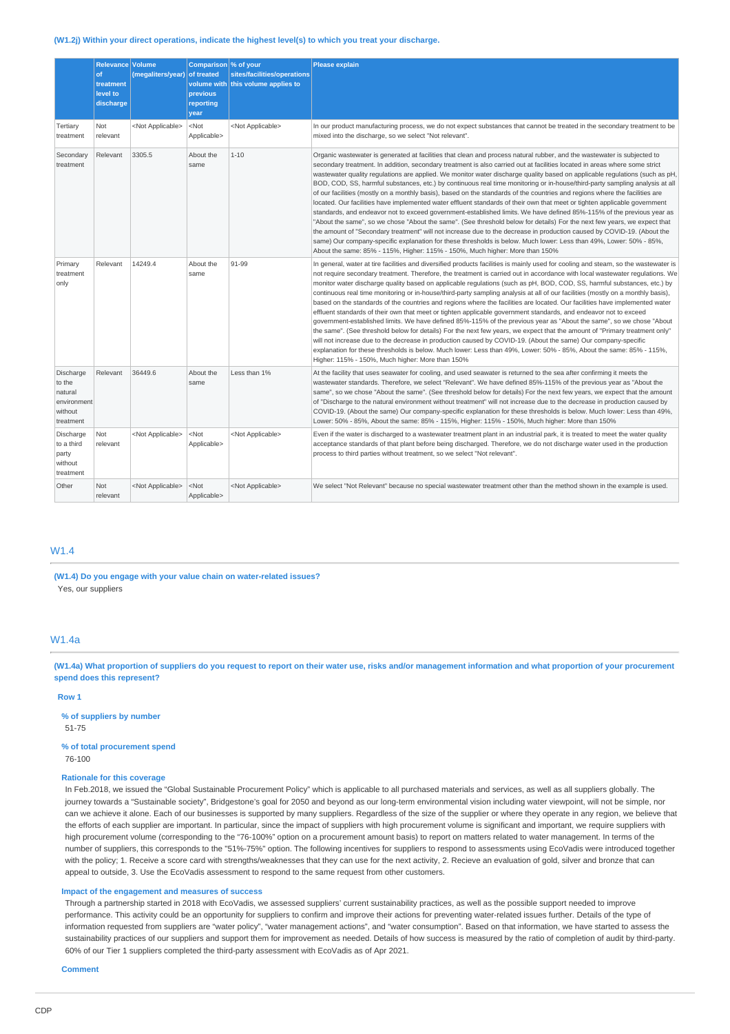#### **(W1.2j) Within your direct operations, indicate the highest level(s) to which you treat your discharge.**

|                                                                       | Relevance Volume<br>of<br>treatment<br>level to<br>discharge | (megaliters/year) of treated | Comparison % of your<br>previous<br>reporting<br>year | sites/facilities/operations<br>volume with this volume applies to | <b>Please explain</b>                                                                                                                                                                                                                                                                                                                                                                                                                                                                                                                                                                                                                                                                                                                                                                                                                                                                                                                                                                                                                                                                                                                                                                                                                                                                                                                                                |
|-----------------------------------------------------------------------|--------------------------------------------------------------|------------------------------|-------------------------------------------------------|-------------------------------------------------------------------|----------------------------------------------------------------------------------------------------------------------------------------------------------------------------------------------------------------------------------------------------------------------------------------------------------------------------------------------------------------------------------------------------------------------------------------------------------------------------------------------------------------------------------------------------------------------------------------------------------------------------------------------------------------------------------------------------------------------------------------------------------------------------------------------------------------------------------------------------------------------------------------------------------------------------------------------------------------------------------------------------------------------------------------------------------------------------------------------------------------------------------------------------------------------------------------------------------------------------------------------------------------------------------------------------------------------------------------------------------------------|
| Tertiary<br>treatment                                                 | Not<br>relevant                                              | <not applicable=""></not>    | <not<br>Applicable&gt;</not<br>                       | <not applicable=""></not>                                         | In our product manufacturing process, we do not expect substances that cannot be treated in the secondary treatment to be<br>mixed into the discharge, so we select "Not relevant".                                                                                                                                                                                                                                                                                                                                                                                                                                                                                                                                                                                                                                                                                                                                                                                                                                                                                                                                                                                                                                                                                                                                                                                  |
| Secondary<br>treatment                                                | Relevant                                                     | 3305.5                       | About the<br>same                                     | $1 - 10$                                                          | Organic wastewater is generated at facilities that clean and process natural rubber, and the wastewater is subjected to<br>secondary treatment. In addition, secondary treatment is also carried out at facilities located in areas where some strict<br>wastewater quality regulations are applied. We monitor water discharge quality based on applicable regulations (such as pH,<br>BOD, COD, SS, harmful substances, etc.) by continuous real time monitoring or in-house/third-party sampling analysis at all<br>of our facilities (mostly on a monthly basis), based on the standards of the countries and regions where the facilities are<br>located. Our facilities have implemented water effluent standards of their own that meet or tighten applicable government<br>standards, and endeavor not to exceed government-established limits. We have defined 85%-115% of the previous year as<br>"About the same", so we chose "About the same". (See threshold below for details) For the next few years, we expect that<br>the amount of "Secondary treatment" will not increase due to the decrease in production caused by COVID-19. (About the<br>same) Our company-specific explanation for these thresholds is below. Much lower: Less than 49%, Lower: 50% - 85%,<br>About the same: 85% - 115%, Higher: 115% - 150%, Much higher: More than 150% |
| Primary<br>treatment<br>only                                          | Relevant                                                     | 14249.4                      | About the<br>same                                     | 91-99                                                             | In general, water at tire facilities and diversified products facilities is mainly used for cooling and steam, so the wastewater is<br>not require secondary treatment. Therefore, the treatment is carried out in accordance with local wastewater regulations. We<br>monitor water discharge quality based on applicable regulations (such as pH, BOD, COD, SS, harmful substances, etc.) by<br>continuous real time monitoring or in-house/third-party sampling analysis at all of our facilities (mostly on a monthly basis),<br>based on the standards of the countries and regions where the facilities are located. Our facilities have implemented water<br>effluent standards of their own that meet or tighten applicable government standards, and endeavor not to exceed<br>government-established limits. We have defined 85%-115% of the previous year as "About the same", so we chose "About<br>the same". (See threshold below for details) For the next few years, we expect that the amount of "Primary treatment only"<br>will not increase due to the decrease in production caused by COVID-19. (About the same) Our company-specific<br>explanation for these thresholds is below. Much lower: Less than 49%, Lower: 50% - 85%, About the same: 85% - 115%,<br>Higher: 115% - 150%, Much higher: More than 150%                               |
| Discharge<br>to the<br>natural<br>environment<br>without<br>treatment | Relevant                                                     | 36449.6                      | About the<br>same                                     | Less than 1%                                                      | At the facility that uses seawater for cooling, and used seawater is returned to the sea after confirming it meets the<br>wastewater standards. Therefore, we select "Relevant". We have defined 85%-115% of the previous year as "About the<br>same", so we chose "About the same". (See threshold below for details) For the next few years, we expect that the amount<br>of "Discharge to the natural environment without treatment" will not increase due to the decrease in production caused by<br>COVID-19. (About the same) Our company-specific explanation for these thresholds is below. Much lower: Less than 49%,<br>Lower: 50% - 85%, About the same: 85% - 115%, Higher: 115% - 150%, Much higher: More than 150%                                                                                                                                                                                                                                                                                                                                                                                                                                                                                                                                                                                                                                     |
| Discharge<br>to a third<br>party<br>without<br>treatment              | Not<br>relevant                                              | <not applicable=""></not>    | <not<br>Applicable&gt;</not<br>                       | <not applicable=""></not>                                         | Even if the water is discharged to a wastewater treatment plant in an industrial park, it is treated to meet the water quality<br>acceptance standards of that plant before being discharged. Therefore, we do not discharge water used in the production<br>process to third parties without treatment, so we select "Not relevant".                                                                                                                                                                                                                                                                                                                                                                                                                                                                                                                                                                                                                                                                                                                                                                                                                                                                                                                                                                                                                                |
| Other                                                                 | <b>Not</b><br>relevant                                       | <not applicable=""></not>    | <not<br>Applicable&gt;</not<br>                       | <not applicable=""></not>                                         | We select "Not Relevant" because no special wastewater treatment other than the method shown in the example is used.                                                                                                                                                                                                                                                                                                                                                                                                                                                                                                                                                                                                                                                                                                                                                                                                                                                                                                                                                                                                                                                                                                                                                                                                                                                 |

## W1.4

**(W1.4) Do you engage with your value chain on water-related issues?** Yes, our suppliers

## W1.4a

**(W1.4a) What proportion of suppliers do you request to report on their water use, risks and/or management information and what proportion of your procurement spend does this represent?**

#### **Row 1**

**% of suppliers by number** 51-75

## **% of total procurement spend**

76-100

### **Rationale for this coverage**

In Feb.2018, we issued the "Global Sustainable Procurement Policy" which is applicable to all purchased materials and services, as well as all suppliers globally. The journey towards a "Sustainable society", Bridgestone's goal for 2050 and beyond as our long-term environmental vision including water viewpoint, will not be simple, nor can we achieve it alone. Each of our businesses is supported by many suppliers. Regardless of the size of the supplier or where they operate in any region, we believe that the efforts of each supplier are important. In particular, since the impact of suppliers with high procurement volume is significant and important, we require suppliers with high procurement volume (corresponding to the "76-100%" option on a procurement amount basis) to report on matters related to water management. In terms of the number of suppliers, this corresponds to the "51%-75%" option. The following incentives for suppliers to respond to assessments using EcoVadis were introduced together with the policy; 1. Receive a score card with strengths/weaknesses that they can use for the next activity, 2. Recieve an evaluation of gold, silver and bronze that can appeal to outside, 3. Use the EcoVadis assessment to respond to the same request from other customers.

#### **Impact of the engagement and measures of success**

Through a partnership started in 2018 with EcoVadis, we assessed suppliers' current sustainability practices, as well as the possible support needed to improve performance. This activity could be an opportunity for suppliers to confirm and improve their actions for preventing water-related issues further. Details of the type of information requested from suppliers are "water policy", "water management actions", and "water consumption". Based on that information, we have started to assess the sustainability practices of our suppliers and support them for improvement as needed. Details of how success is measured by the ratio of completion of audit by third-party. 60% of our Tier 1 suppliers completed the third-party assessment with EcoVadis as of Apr 2021.

**Comment**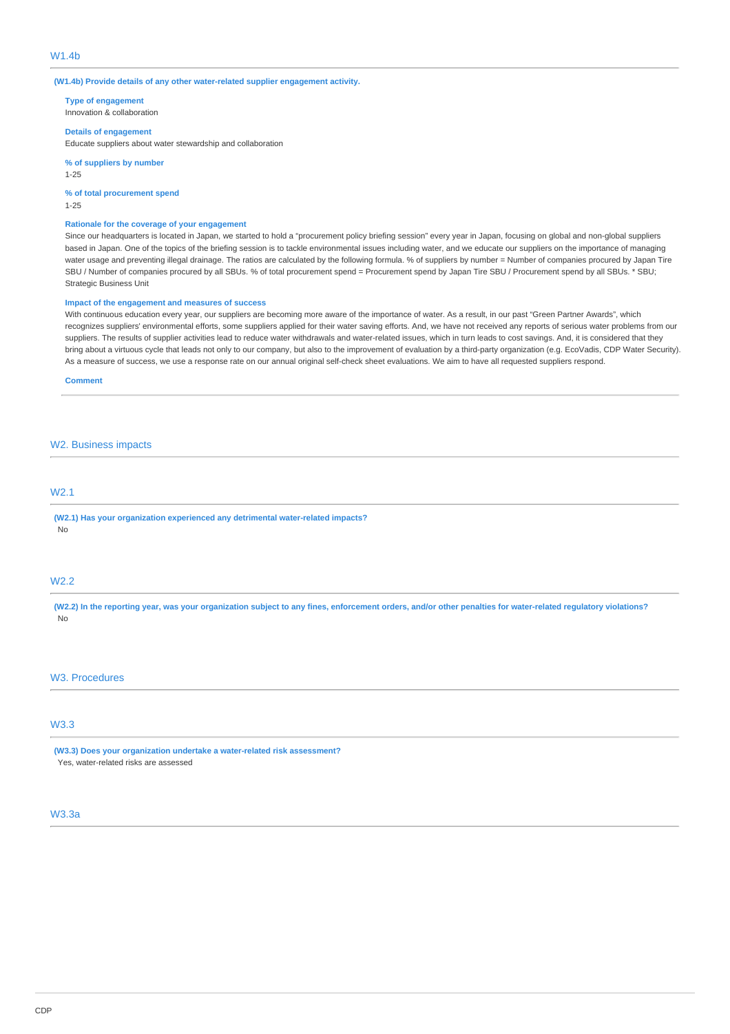#### **(W1.4b) Provide details of any other water-related supplier engagement activity.**

**Type of engagement** Innovation & collaboration

### **Details of engagement**

Educate suppliers about water stewardship and collaboration

**% of suppliers by number**

1-25

**% of total procurement spend** 1-25

## **Rationale for the coverage of your engagement**

Since our headquarters is located in Japan, we started to hold a "procurement policy briefing session" every year in Japan, focusing on global and non-global suppliers based in Japan. One of the topics of the briefing session is to tackle environmental issues including water, and we educate our suppliers on the importance of managing water usage and preventing illegal drainage. The ratios are calculated by the following formula. % of suppliers by number = Number of companies procured by Japan Tire SBU / Number of companies procured by all SBUs. % of total procurement spend = Procurement spend by Japan Tire SBU / Procurement spend by all SBUs. \* SBU; Strategic Business Unit

#### **Impact of the engagement and measures of success**

With continuous education every year, our suppliers are becoming more aware of the importance of water. As a result, in our past "Green Partner Awards", which recognizes suppliers' environmental efforts, some suppliers applied for their water saving efforts. And, we have not received any reports of serious water problems from our suppliers. The results of supplier activities lead to reduce water withdrawals and water-related issues, which in turn leads to cost savings. And, it is considered that they bring about a virtuous cycle that leads not only to our company, but also to the improvement of evaluation by a third-party organization (e.g. EcoVadis, CDP Water Security). As a measure of success, we use a response rate on our annual original self-check sheet evaluations. We aim to have all requested suppliers respond.

**Comment**

#### W2. Business impacts

## W2.1

**(W2.1) Has your organization experienced any detrimental water-related impacts?** No

## W2.2

**(W2.2) In the reporting year, was your organization subject to any fines, enforcement orders, and/or other penalties for water-related regulatory violations?** No

## W3. Procedures

## W3.3

**(W3.3) Does your organization undertake a water-related risk assessment?** Yes, water-related risks are assessed

### W3.3a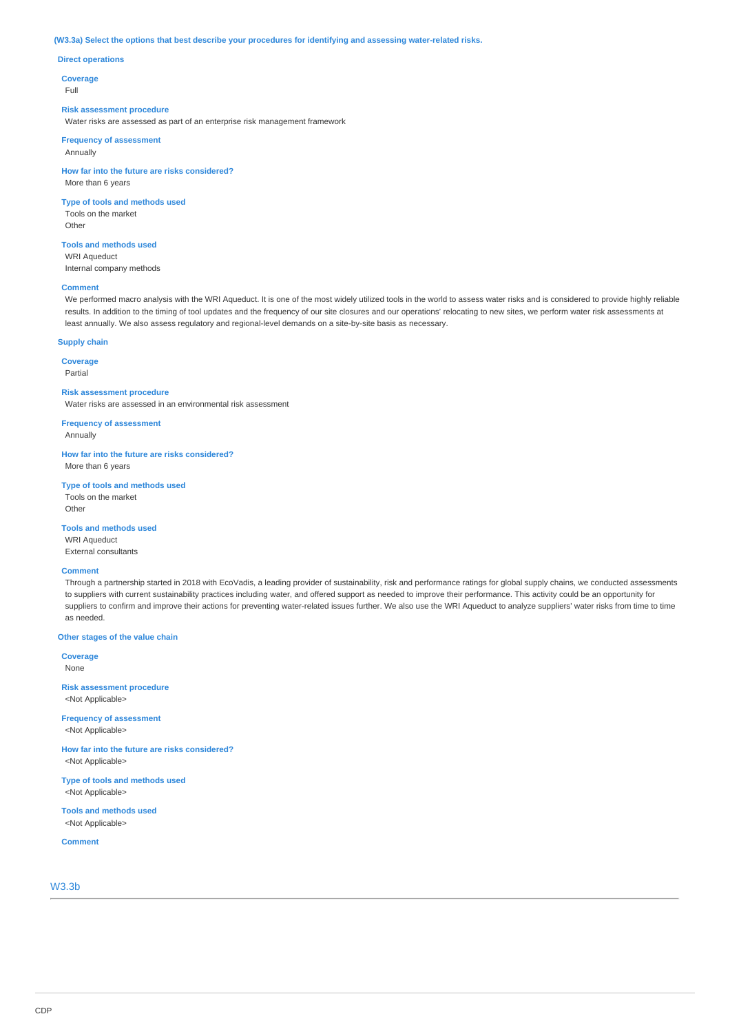#### **(W3.3a) Select the options that best describe your procedures for identifying and assessing water-related risks.**

#### **Direct operations**

**Coverage**

Full

#### **Risk assessment procedure**

Water risks are assessed as part of an enterprise risk management framework

#### **Frequency of assessment** Annually

**How far into the future are risks considered?** More than 6 years

### **Type of tools and methods used**

Tools on the market Other

#### **Tools and methods used**

WRI Aqueduct Internal company methods

#### **Comment**

We performed macro analysis with the WRI Aqueduct. It is one of the most widely utilized tools in the world to assess water risks and is considered to provide highly reliable results. In addition to the timing of tool updates and the frequency of our site closures and our operations' relocating to new sites, we perform water risk assessments at least annually. We also assess regulatory and regional-level demands on a site-by-site basis as necessary.

### **Supply chain**

**Coverage** Partial

# **Risk assessment procedure**

Water risks are assessed in an environmental risk assessment

**Frequency of assessment**

Annually

**How far into the future are risks considered?** More than 6 years

#### **Type of tools and methods used**

Tools on the market Other

**Tools and methods used**

WRI Aqueduct External consultants

#### **Comment**

Through a partnership started in 2018 with EcoVadis, a leading provider of sustainability, risk and performance ratings for global supply chains, we conducted assessments to suppliers with current sustainability practices including water, and offered support as needed to improve their performance. This activity could be an opportunity for suppliers to confirm and improve their actions for preventing water-related issues further. We also use the WRI Aqueduct to analyze suppliers' water risks from time to time as needed.

**Other stages of the value chain**

**Coverage** None

**Risk assessment procedure** <Not Applicable>

**Frequency of assessment** <Not Applicable>

**How far into the future are risks considered?** <Not Applicable>

**Type of tools and methods used** <Not Applicable>

**Tools and methods used** <Not Applicable>

**Comment**

## W3.3b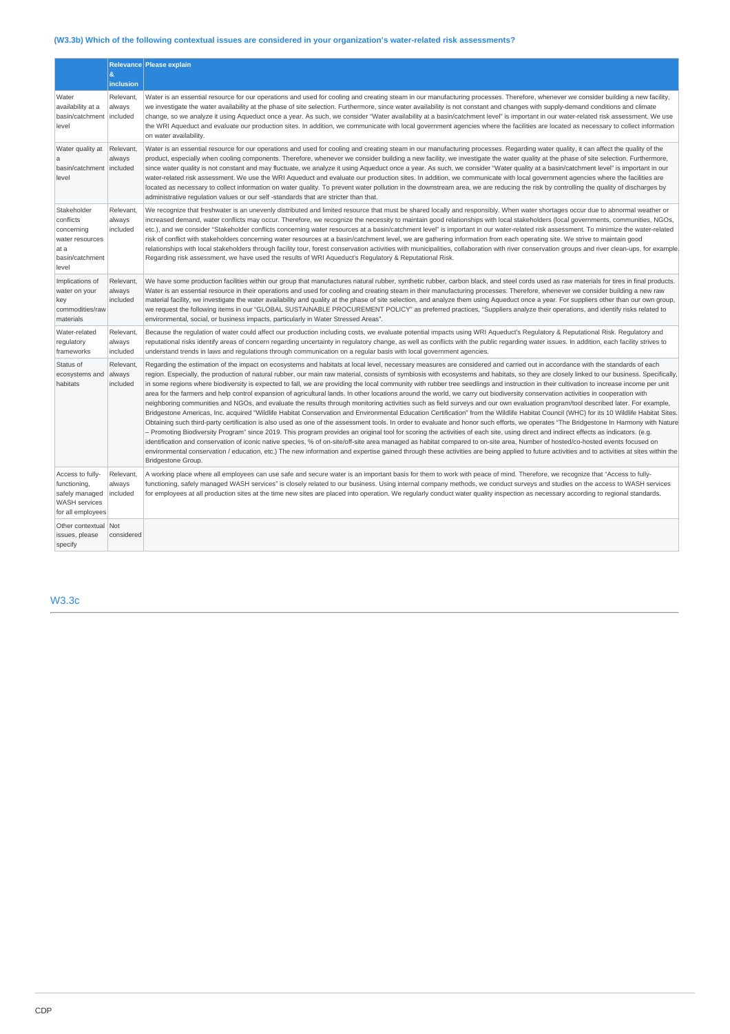# **(W3.3b) Which of the following contextual issues are considered in your organization's water-related risk assessments?**

|                                                                                                 |                                 | Relevance Please explain                                                                                                                                                                                                                                                                                                                                                                                                                                                                                                                                                                                                                                                                                                                                                                                                                                                                                                                                                                                                                                                                                                                                                                                                                                                                                                                                                                                                                                                                                                                                                                                                                                                                                                                                                                                                                                                                                                              |
|-------------------------------------------------------------------------------------------------|---------------------------------|---------------------------------------------------------------------------------------------------------------------------------------------------------------------------------------------------------------------------------------------------------------------------------------------------------------------------------------------------------------------------------------------------------------------------------------------------------------------------------------------------------------------------------------------------------------------------------------------------------------------------------------------------------------------------------------------------------------------------------------------------------------------------------------------------------------------------------------------------------------------------------------------------------------------------------------------------------------------------------------------------------------------------------------------------------------------------------------------------------------------------------------------------------------------------------------------------------------------------------------------------------------------------------------------------------------------------------------------------------------------------------------------------------------------------------------------------------------------------------------------------------------------------------------------------------------------------------------------------------------------------------------------------------------------------------------------------------------------------------------------------------------------------------------------------------------------------------------------------------------------------------------------------------------------------------------|
|                                                                                                 | &<br>inclusion                  |                                                                                                                                                                                                                                                                                                                                                                                                                                                                                                                                                                                                                                                                                                                                                                                                                                                                                                                                                                                                                                                                                                                                                                                                                                                                                                                                                                                                                                                                                                                                                                                                                                                                                                                                                                                                                                                                                                                                       |
| Water<br>availability at a<br>basin/catchment<br>level                                          | Relevant,<br>always<br>included | Water is an essential resource for our operations and used for cooling and creating steam in our manufacturing processes. Therefore, whenever we consider building a new facility,<br>we investigate the water availability at the phase of site selection. Furthermore, since water availability is not constant and changes with supply-demand conditions and climate<br>change, so we analyze it using Aqueduct once a year. As such, we consider "Water availability at a basin/catchment level" is important in our water-related risk assessment. We use<br>the WRI Aqueduct and evaluate our production sites. In addition, we communicate with local government agencies where the facilities are located as necessary to collect information<br>on water availability.                                                                                                                                                                                                                                                                                                                                                                                                                                                                                                                                                                                                                                                                                                                                                                                                                                                                                                                                                                                                                                                                                                                                                       |
| Water quality at<br>a<br>basin/catchment<br>level                                               | Relevant,<br>always<br>included | Water is an essential resource for our operations and used for cooling and creating steam in our manufacturing processes. Regarding water quality, it can affect the quality of the<br>product, especially when cooling components. Therefore, whenever we consider building a new facility, we investigate the water quality at the phase of site selection. Furthermore,<br>since water quality is not constant and may fluctuate, we analyze it using Aqueduct once a year. As such, we consider "Water quality at a basin/catchment level" is important in our<br>water-related risk assessment. We use the WRI Aqueduct and evaluate our production sites. In addition, we communicate with local government agencies where the facilities are<br>located as necessary to collect information on water quality. To prevent water pollution in the downstream area, we are reducing the risk by controlling the quality of discharges by<br>administrative regulation values or our self -standards that are stricter than that.                                                                                                                                                                                                                                                                                                                                                                                                                                                                                                                                                                                                                                                                                                                                                                                                                                                                                                  |
| Stakeholder<br>conflicts<br>concerning<br>water resources<br>at a<br>basin/catchment<br>level   | Relevant,<br>always<br>included | We recognize that freshwater is an unevenly distributed and limited resource that must be shared locally and responsibly. When water shortages occur due to abnormal weather or<br>increased demand, water conflicts may occur. Therefore, we recognize the necessity to maintain good relationships with local stakeholders (local governments, communities, NGOs,<br>etc.), and we consider "Stakeholder conflicts concerning water resources at a basin/catchment level" is important in our water-related risk assessment. To minimize the water-related<br>risk of conflict with stakeholders concerning water resources at a basin/catchment level, we are gathering information from each operating site. We strive to maintain good<br>relationships with local stakeholders through facility tour, forest conservation activities with municipalities, collaboration with river conservation groups and river clean-ups, for example<br>Regarding risk assessment, we have used the results of WRI Aqueduct's Regulatory & Reputational Risk.                                                                                                                                                                                                                                                                                                                                                                                                                                                                                                                                                                                                                                                                                                                                                                                                                                                                                |
| Implications of<br>water on your<br>key<br>commodities/raw<br>materials                         | Relevant,<br>always<br>included | We have some production facilities within our group that manufactures natural rubber, synthetic rubber, carbon black, and steel cords used as raw materials for tires in final products.<br>Water is an essential resource in their operations and used for cooling and creating steam in their manufacturing processes. Therefore, whenever we consider building a new raw<br>material facility, we investigate the water availability and quality at the phase of site selection, and analyze them using Aqueduct once a year. For suppliers other than our own group,<br>we request the following items in our "GLOBAL SUSTAINABLE PROCUREMENT POLICY" as preferred practices, "Suppliers analyze their operations, and identify risks related to<br>environmental, social, or business impacts, particularly in Water Stressed Areas".                                                                                                                                                                                                                                                                                                                                                                                                                                                                                                                                                                                                                                                                                                                                                                                                                                                                                                                                                                                                                                                                                            |
| Water-related<br>regulatory<br>frameworks                                                       | Relevant,<br>always<br>included | Because the regulation of water could affect our production including costs, we evaluate potential impacts using WRI Aqueduct's Regulatory & Reputational Risk. Regulatory and<br>reputational risks identify areas of concern regarding uncertainty in regulatory change, as well as conflicts with the public regarding water issues. In addition, each facility strives to<br>understand trends in laws and regulations through communication on a regular basis with local government agencies.                                                                                                                                                                                                                                                                                                                                                                                                                                                                                                                                                                                                                                                                                                                                                                                                                                                                                                                                                                                                                                                                                                                                                                                                                                                                                                                                                                                                                                   |
| Status of<br>ecosystems and<br>habitats                                                         | Relevant,<br>always<br>included | Regarding the estimation of the impact on ecosystems and habitats at local level, necessary measures are considered and carried out in accordance with the standards of each<br>region. Especially, the production of natural rubber, our main raw material, consists of symbiosis with ecosystems and habitats, so they are closely linked to our business. Specifically,<br>in some regions where biodiversity is expected to fall, we are providing the local community with rubber tree seedlings and instruction in their cultivation to increase income per unit<br>area for the farmers and help control expansion of agricultural lands. In other locations around the world, we carry out biodiversity conservation activities in cooperation with<br>neighboring communities and NGOs, and evaluate the results through monitoring activities such as field surveys and our own evaluation program/tool described later. For example,<br>Bridgestone Americas, Inc. acquired "Wildlife Habitat Conservation and Environmental Education Certification" from the Wildlife Habitat Council (WHC) for its 10 Wildlife Habitat Sites.<br>Obtaining such third-party certification is also used as one of the assessment tools. In order to evaluate and honor such efforts, we operates "The Bridgestone In Harmony with Nature<br>– Promoting Biodiversity Program" since 2019. This program provides an original tool for scoring the activities of each site, using direct and indirect effects as indicators. (e.g.<br>identification and conservation of iconic native species, % of on-site/off-site area managed as habitat compared to on-site area, Number of hosted/co-hosted events focused on<br>environmental conservation / education, etc.) The new information and expertise gained through these activities are being applied to future activities and to activities at sites within the<br>Bridgestone Group. |
| Access to fully-<br>functioning,<br>safely managed<br><b>WASH</b> services<br>for all employees | Relevant,<br>always<br>included | A working place where all employees can use safe and secure water is an important basis for them to work with peace of mind. Therefore, we recognize that "Access to fully-<br>functioning, safely managed WASH services" is closely related to our business. Using internal company methods, we conduct surveys and studies on the access to WASH services<br>for employees at all production sites at the time new sites are placed into operation. We regularly conduct water quality inspection as necessary according to regional standards.                                                                                                                                                                                                                                                                                                                                                                                                                                                                                                                                                                                                                                                                                                                                                                                                                                                                                                                                                                                                                                                                                                                                                                                                                                                                                                                                                                                     |
| Other contextual<br>issues, please<br>specify                                                   | Not<br>considered               |                                                                                                                                                                                                                                                                                                                                                                                                                                                                                                                                                                                                                                                                                                                                                                                                                                                                                                                                                                                                                                                                                                                                                                                                                                                                                                                                                                                                                                                                                                                                                                                                                                                                                                                                                                                                                                                                                                                                       |

W3.3c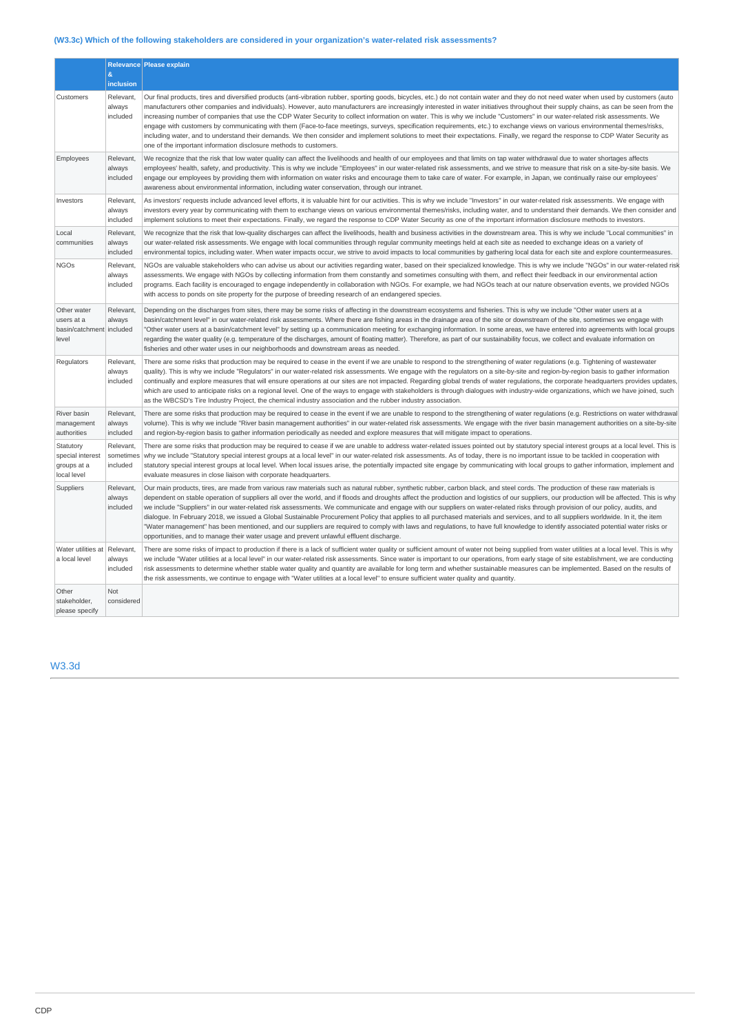# **(W3.3c) Which of the following stakeholders are considered in your organization's water-related risk assessments?**

|                                                                | &                                            | Relevance Please explain                                                                                                                                                                                                                                                                                                                                                                                                                                                                                                                                                                                                                                                                                                                                                                                                                                                                                                                                                                                                                 |
|----------------------------------------------------------------|----------------------------------------------|------------------------------------------------------------------------------------------------------------------------------------------------------------------------------------------------------------------------------------------------------------------------------------------------------------------------------------------------------------------------------------------------------------------------------------------------------------------------------------------------------------------------------------------------------------------------------------------------------------------------------------------------------------------------------------------------------------------------------------------------------------------------------------------------------------------------------------------------------------------------------------------------------------------------------------------------------------------------------------------------------------------------------------------|
| Customers                                                      | inclusion<br>Relevant,<br>always<br>included | Our final products, tires and diversified products (anti-vibration rubber, sporting goods, bicycles, etc.) do not contain water and they do not need water when used by customers (auto<br>manufacturers other companies and individuals). However, auto manufacturers are increasingly interested in water initiatives throughout their supply chains, as can be seen from the<br>increasing number of companies that use the CDP Water Security to collect information on water. This is why we include "Customers" in our water-related risk assessments. We<br>engage with customers by communicating with them (Face-to-face meetings, surveys, specification requirements, etc.) to exchange views on various environmental themes/risks,<br>including water, and to understand their demands. We then consider and implement solutions to meet their expectations. Finally, we regard the response to CDP Water Security as<br>one of the important information disclosure methods to customers.                                  |
| Employees                                                      | Relevant,<br>always<br>included              | We recognize that the risk that low water quality can affect the livelihoods and health of our employees and that limits on tap water withdrawal due to water shortages affects<br>employees' health, safety, and productivity. This is why we include "Employees" in our water-related risk assessments, and we strive to measure that risk on a site-by-site basis. We<br>engage our employees by providing them with information on water risks and encourage them to take care of water. For example, in Japan, we continually raise our employees'<br>awareness about environmental information, including water conservation, through our intranet.                                                                                                                                                                                                                                                                                                                                                                                |
| Investors                                                      | Relevant,<br>always<br>included              | As investors' requests include advanced level efforts, it is valuable hint for our activities. This is why we include "Investors" in our water-related risk assessments. We engage with<br>investors every year by communicating with them to exchange views on various environmental themes/risks, including water, and to understand their demands. We then consider and<br>implement solutions to meet their expectations. Finally, we regard the response to CDP Water Security as one of the important information disclosure methods to investors.                                                                                                                                                                                                                                                                                                                                                                                                                                                                                 |
| Local<br>communities                                           | Relevant,<br>always<br>included              | We recognize that the risk that low-quality discharges can affect the livelihoods, health and business activities in the downstream area. This is why we include "Local communities" in<br>our water-related risk assessments. We engage with local communities through regular community meetings held at each site as needed to exchange ideas on a variety of<br>environmental topics, including water. When water impacts occur, we strive to avoid impacts to local communities by gathering local data for each site and explore countermeasures.                                                                                                                                                                                                                                                                                                                                                                                                                                                                                  |
| <b>NGOs</b>                                                    | Relevant,<br>always<br>included              | NGOs are valuable stakeholders who can advise us about our activities regarding water, based on their specialized knowledge. This is why we include "NGOs" in our water-related risk<br>assessments. We engage with NGOs by collecting information from them constantly and sometimes consulting with them, and reflect their feedback in our environmental action<br>programs. Each facility is encouraged to engage independently in collaboration with NGOs. For example, we had NGOs teach at our nature observation events, we provided NGOs<br>with access to ponds on site property for the purpose of breeding research of an endangered species.                                                                                                                                                                                                                                                                                                                                                                                |
| Other water<br>users at a<br>basin/catchment included<br>level | Relevant,<br>always                          | Depending on the discharges from sites, there may be some risks of affecting in the downstream ecosystems and fisheries. This is why we include "Other water users at a<br>basin/catchment level" in our water-related risk assessments. Where there are fishing areas in the drainage area of the site or downstream of the site, sometimes we engage with<br>"Other water users at a basin/catchment level" by setting up a communication meeting for exchanging information. In some areas, we have entered into agreements with local groups<br>regarding the water quality (e.g. temperature of the discharges, amount of floating matter). Therefore, as part of our sustainability focus, we collect and evaluate information on<br>fisheries and other water uses in our neighborhoods and downstream areas as needed.                                                                                                                                                                                                           |
| Regulators                                                     | Relevant,<br>always<br>included              | There are some risks that production may be required to cease in the event if we are unable to respond to the strengthening of water regulations (e.g. Tightening of wastewater<br>quality). This is why we include "Regulators" in our water-related risk assessments. We engage with the regulators on a site-by-site and region-by-region basis to gather information<br>continually and explore measures that will ensure operations at our sites are not impacted. Regarding global trends of water regulations, the corporate headquarters provides updates,<br>which are used to anticipate risks on a regional level. One of the ways to engage with stakeholders is through dialogues with industry-wide organizations, which we have joined, such<br>as the WBCSD's Tire Industry Project, the chemical industry association and the rubber industry association.                                                                                                                                                              |
| River basin<br>management<br>authorities                       | Relevant,<br>always<br>included              | There are some risks that production may be required to cease in the event if we are unable to respond to the strengthening of water regulations (e.g. Restrictions on water withdrawal<br>volume). This is why we include "River basin management authorities" in our water-related risk assessments. We engage with the river basin management authorities on a site-by-site<br>and region-by-region basis to gather information periodically as needed and explore measures that will mitigate impact to operations.                                                                                                                                                                                                                                                                                                                                                                                                                                                                                                                  |
| Statutory<br>special interest<br>groups at a<br>local level    | Relevant,<br>sometimes<br>included           | There are some risks that production may be required to cease if we are unable to address water-related issues pointed out by statutory special interest groups at a local level. This is<br>why we include "Statutory special interest groups at a local level" in our water-related risk assessments. As of today, there is no important issue to be tackled in cooperation with<br>statutory special interest groups at local level. When local issues arise, the potentially impacted site engage by communicating with local groups to gather information, implement and<br>evaluate measures in close liaison with corporate headquarters.                                                                                                                                                                                                                                                                                                                                                                                         |
| Suppliers                                                      | Relevant,<br>always<br>included              | Our main products, tires, are made from various raw materials such as natural rubber, synthetic rubber, carbon black, and steel cords. The production of these raw materials is<br>dependent on stable operation of suppliers all over the world, and if floods and droughts affect the production and logistics of our suppliers, our production will be affected. This is why<br>we include "Suppliers" in our water-related risk assessments. We communicate and engage with our suppliers on water-related risks through provision of our policy, audits, and<br>dialoque. In February 2018, we issued a Global Sustainable Procurement Policy that applies to all purchased materials and services, and to all suppliers worldwide. In it, the item<br>"Water management" has been mentioned, and our suppliers are required to comply with laws and requlations, to have full knowledge to identify associated potential water risks or<br>opportunities, and to manage their water usage and prevent unlawful effluent discharge. |
| Water utilities at<br>a local level                            | Relevant,<br>always<br>included              | There are some risks of impact to production if there is a lack of sufficient water quality or sufficient amount of water not being supplied from water utilities at a local level. This is why<br>we include "Water utilities at a local level" in our water-related risk assessments. Since water is important to our operations, from early stage of site establishment, we are conducting<br>risk assessments to determine whether stable water quality and quantity are available for long term and whether sustainable measures can be implemented. Based on the results of<br>the risk assessments, we continue to engage with "Water utilities at a local level" to ensure sufficient water quality and quantity.                                                                                                                                                                                                                                                                                                                |
| Other<br>stakeholder,<br>please specify                        | Not<br>considered                            |                                                                                                                                                                                                                                                                                                                                                                                                                                                                                                                                                                                                                                                                                                                                                                                                                                                                                                                                                                                                                                          |

# W3.3d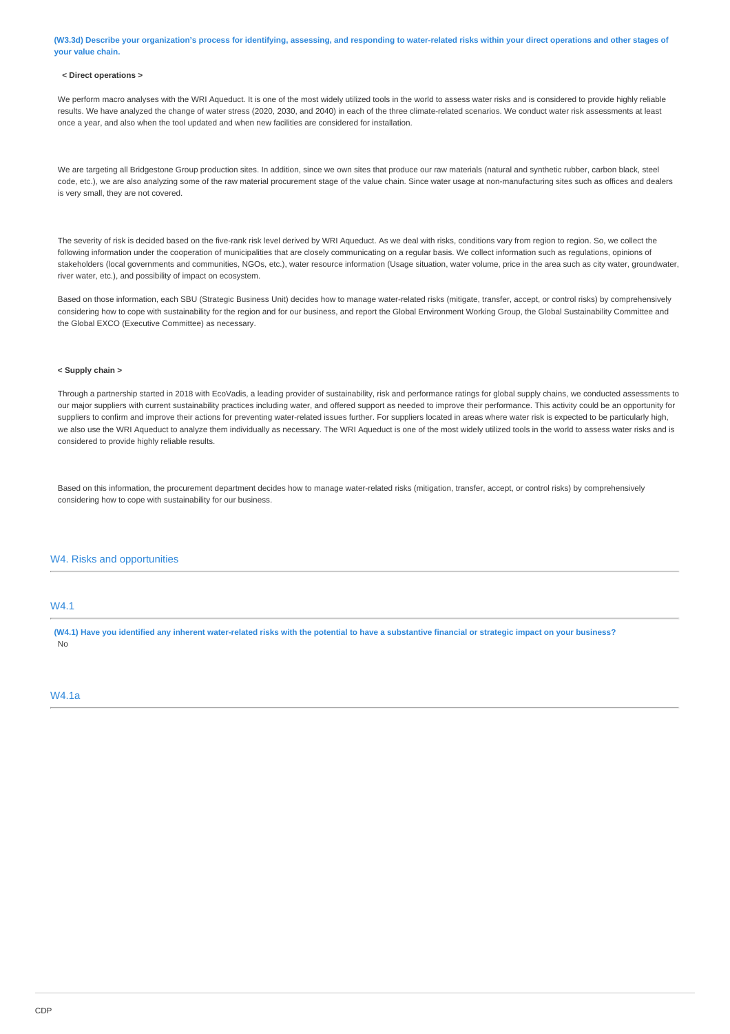**(W3.3d) Describe your organization's process for identifying, assessing, and responding to water-related risks within your direct operations and other stages of your value chain.**

#### **< Direct operations >**

We perform macro analyses with the WRI Aqueduct. It is one of the most widely utilized tools in the world to assess water risks and is considered to provide highly reliable results. We have analyzed the change of water stress (2020, 2030, and 2040) in each of the three climate-related scenarios. We conduct water risk assessments at least once a year, and also when the tool updated and when new facilities are considered for installation.

We are targeting all Bridgestone Group production sites. In addition, since we own sites that produce our raw materials (natural and synthetic rubber, carbon black, steel code, etc.), we are also analyzing some of the raw material procurement stage of the value chain. Since water usage at non-manufacturing sites such as offices and dealers is very small, they are not covered.

The severity of risk is decided based on the five-rank risk level derived by WRI Aqueduct. As we deal with risks, conditions vary from region to region. So, we collect the following information under the cooperation of municipalities that are closely communicating on a regular basis. We collect information such as regulations, opinions of stakeholders (local governments and communities, NGOs, etc.), water resource information (Usage situation, water volume, price in the area such as city water, groundwater, river water, etc.), and possibility of impact on ecosystem.

Based on those information, each SBU (Strategic Business Unit) decides how to manage water-related risks (mitigate, transfer, accept, or control risks) by comprehensively considering how to cope with sustainability for the region and for our business, and report the Global Environment Working Group, the Global Sustainability Committee and the Global EXCO (Executive Committee) as necessary.

#### **< Supply chain >**

Through a partnership started in 2018 with EcoVadis, a leading provider of sustainability, risk and performance ratings for global supply chains, we conducted assessments to our major suppliers with current sustainability practices including water, and offered support as needed to improve their performance. This activity could be an opportunity for suppliers to confirm and improve their actions for preventing water-related issues further. For suppliers located in areas where water risk is expected to be particularly high, we also use the WRI Aqueduct to analyze them individually as necessary. The WRI Aqueduct is one of the most widely utilized tools in the world to assess water risks and is considered to provide highly reliable results.

Based on this information, the procurement department decides how to manage water-related risks (mitigation, transfer, accept, or control risks) by comprehensively considering how to cope with sustainability for our business.

### W4. Risks and opportunities

#### W4.1

**(W4.1) Have you identified any inherent water-related risks with the potential to have a substantive financial or strategic impact on your business?** No

### W4.1a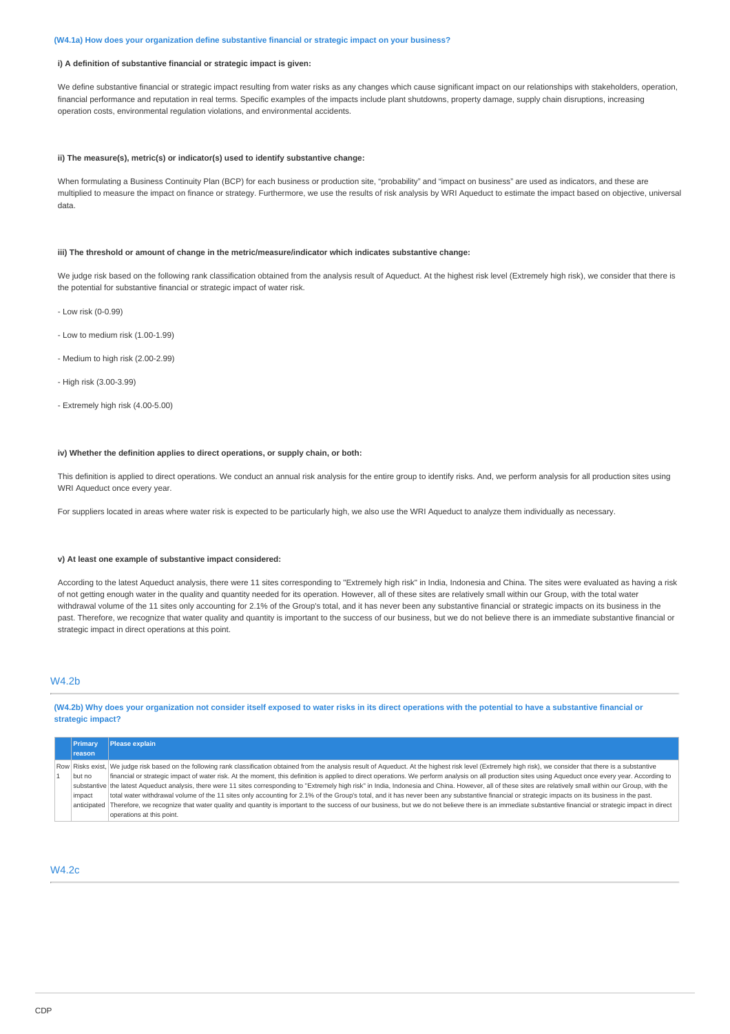#### **(W4.1a) How does your organization define substantive financial or strategic impact on your business?**

#### **i) A definition of substantive financial or strategic impact is given:**

We define substantive financial or strategic impact resulting from water risks as any changes which cause significant impact on our relationships with stakeholders, operation, financial performance and reputation in real terms. Specific examples of the impacts include plant shutdowns, property damage, supply chain disruptions, increasing operation costs, environmental regulation violations, and environmental accidents.

#### **ii) The measure(s), metric(s) or indicator(s) used to identify substantive change:**

When formulating a Business Continuity Plan (BCP) for each business or production site, "probability" and "impact on business" are used as indicators, and these are multiplied to measure the impact on finance or strategy. Furthermore, we use the results of risk analysis by WRI Aqueduct to estimate the impact based on objective, universal data.

#### **iii) The threshold or amount of change in the metric/measure/indicator which indicates substantive change:**

We judge risk based on the following rank classification obtained from the analysis result of Aqueduct. At the highest risk level (Extremely high risk), we consider that there is the potential for substantive financial or strategic impact of water risk.

- Low risk (0-0.99)
- Low to medium risk (1.00-1.99)
- Medium to high risk (2.00-2.99)
- High risk (3.00-3.99)
- Extremely high risk (4.00-5.00)

#### **iv) Whether the definition applies to direct operations, or supply chain, or both:**

This definition is applied to direct operations. We conduct an annual risk analysis for the entire group to identify risks. And, we perform analysis for all production sites using WRI Aqueduct once every year.

For suppliers located in areas where water risk is expected to be particularly high, we also use the WRI Aqueduct to analyze them individually as necessary.

#### **v) At least one example of substantive impact considered:**

According to the latest Aqueduct analysis, there were 11 sites corresponding to "Extremely high risk" in India, Indonesia and China. The sites were evaluated as having a risk of not getting enough water in the quality and quantity needed for its operation. However, all of these sites are relatively small within our Group, with the total water withdrawal volume of the 11 sites only accounting for 2.1% of the Group's total, and it has never been any substantive financial or strategic impacts on its business in the past. Therefore, we recognize that water quality and quantity is important to the success of our business, but we do not believe there is an immediate substantive financial or strategic impact in direct operations at this point.

### W4.2b

**(W4.2b) Why does your organization not consider itself exposed to water risks in its direct operations with the potential to have a substantive financial or strategic impact?**

| Primary     | <b>Please explain</b>                                                                                                                                                                                             |
|-------------|-------------------------------------------------------------------------------------------------------------------------------------------------------------------------------------------------------------------|
| reason      |                                                                                                                                                                                                                   |
|             | Row Risks exist, We judge risk based on the following rank classification obtained from the analysis result of Aqueduct. At the highest risk level (Extremely high risk), we consider that there is a substantive |
| but no      | financial or strategic impact of water risk. At the moment, this definition is applied to direct operations. We perform analysis on all production sites using Aqueduct once every year. According to             |
|             | substantive the latest Aqueduct analysis, there were 11 sites corresponding to "Extremely high risk" in India, Indonesia and China. However, all of these sites are relatively small within our Group, with the   |
| impact      | total water withdrawal volume of the 11 sites only accounting for 2.1% of the Group's total, and it has never been any substantive financial or strategic impacts on its business in the past.                    |
| anticipated | Therefore, we recognize that water quality and quantity is important to the success of our business, but we do not believe there is an immediate substantive financial or strategic impact in direct              |
|             | operations at this point.                                                                                                                                                                                         |

## W4.2c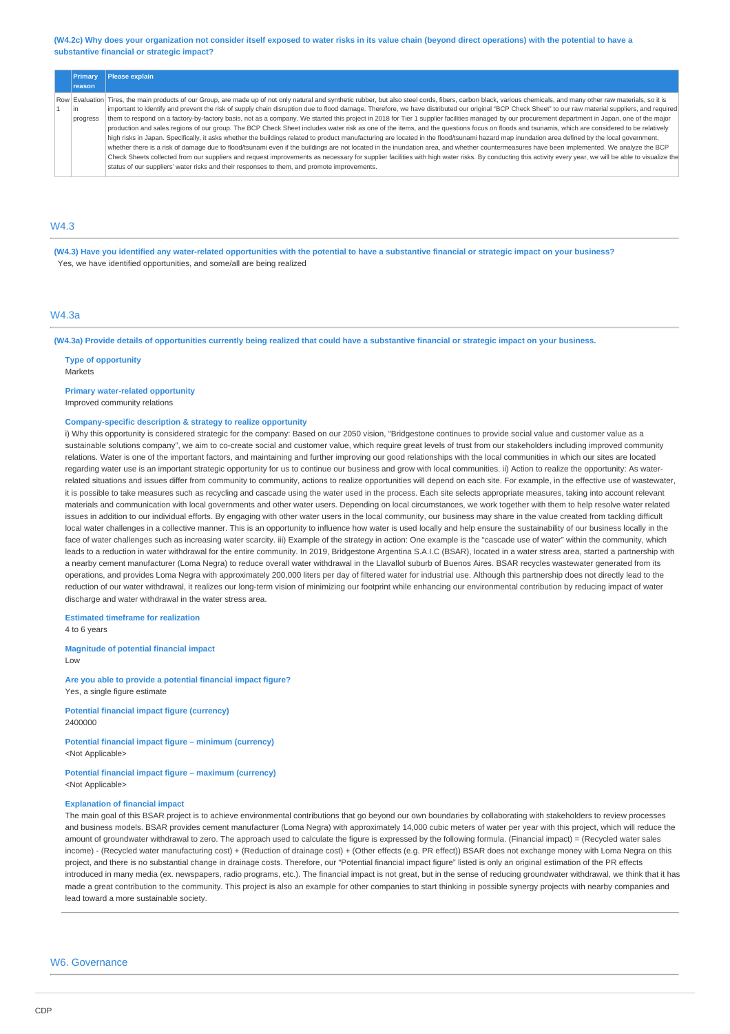#### **(W4.2c) Why does your organization not consider itself exposed to water risks in its value chain (beyond direct operations) with the potential to have a substantive financial or strategic impact?**

| <b>Primary</b> | <b>Please explain</b>                                                                                                                                                                                             |
|----------------|-------------------------------------------------------------------------------------------------------------------------------------------------------------------------------------------------------------------|
| reason         |                                                                                                                                                                                                                   |
|                | Row Evaluation Tires, the main products of our Group, are made up of not only natural and synthetic rubber, but also steel cords, fibers, carbon black, various chemicals, and many other raw materials, so it is |
| in.            | important to identify and prevent the risk of supply chain disruption due to flood damage. Therefore, we have distributed our original "BCP Check Sheet" to our raw material suppliers, and required              |
| progress       | them to respond on a factory-by-factory basis, not as a company. We started this project in 2018 for Tier 1 supplier facilities managed by our procurement department in Japan, one of the major                  |
|                | production and sales regions of our group. The BCP Check Sheet includes water risk as one of the items, and the questions focus on floods and tsunamis, which are considered to be relatively                     |
|                | high risks in Japan. Specifically, it asks whether the buildings related to product manufacturing are located in the flood/tsunami hazard map inundation area defined by the local government,                    |
|                | whether there is a risk of damage due to flood/tsunami even if the buildings are not located in the inundation area, and whether countermeasures have been implemented. We analyze the BCP                        |
|                | Check Sheets collected from our suppliers and request improvements as necessary for supplier facilities with high water risks. By conducting this activity every year, we will be able to yisualize the           |
|                | status of our suppliers' water risks and their responses to them, and promote improvements.                                                                                                                       |
|                |                                                                                                                                                                                                                   |

## $MA<sub>3</sub>$

**(W4.3) Have you identified any water-related opportunities with the potential to have a substantive financial or strategic impact on your business?** Yes, we have identified opportunities, and some/all are being realized

## W4.3a

**(W4.3a) Provide details of opportunities currently being realized that could have a substantive financial or strategic impact on your business.**

**Type of opportunity** Markets

**Primary water-related opportunity**

Improved community relations

#### **Company-specific description & strategy to realize opportunity**

i) Why this opportunity is considered strategic for the company: Based on our 2050 vision, "Bridgestone continues to provide social value and customer value as a sustainable solutions company", we aim to co-create social and customer value, which require great levels of trust from our stakeholders including improved community relations. Water is one of the important factors, and maintaining and further improving our good relationships with the local communities in which our sites are located regarding water use is an important strategic opportunity for us to continue our business and grow with local communities. ii) Action to realize the opportunity: As waterrelated situations and issues differ from community to community, actions to realize opportunities will depend on each site. For example, in the effective use of wastewater, it is possible to take measures such as recycling and cascade using the water used in the process. Each site selects appropriate measures, taking into account relevant materials and communication with local governments and other water users. Depending on local circumstances, we work together with them to help resolve water related issues in addition to our individual efforts. By engaging with other water users in the local community, our business may share in the value created from tackling difficult local water challenges in a collective manner. This is an opportunity to influence how water is used locally and help ensure the sustainability of our business locally in the face of water challenges such as increasing water scarcity. iii) Example of the strategy in action: One example is the "cascade use of water" within the community, which leads to a reduction in water withdrawal for the entire community. In 2019, Bridgestone Argentina S.A.I.C (BSAR), located in a water stress area, started a partnership with a nearby cement manufacturer (Loma Negra) to reduce overall water withdrawal in the Llavallol suburb of Buenos Aires. BSAR recycles wastewater generated from its operations, and provides Loma Negra with approximately 200,000 liters per day of filtered water for industrial use. Although this partnership does not directly lead to the reduction of our water withdrawal, it realizes our long-term vision of minimizing our footprint while enhancing our environmental contribution by reducing impact of water discharge and water withdrawal in the water stress area.

### **Estimated timeframe for realization**

4 to 6 years

**Magnitude of potential financial impact**  $\overline{L}$   $\Omega$ 

**Are you able to provide a potential financial impact figure?** Yes, a single figure estimate

**Potential financial impact figure (currency)** 2400000

**Potential financial impact figure – minimum (currency)** <Not Applicable>

**Potential financial impact figure – maximum (currency)** <Not Applicable>

#### **Explanation of financial impact**

The main goal of this BSAR project is to achieve environmental contributions that go beyond our own boundaries by collaborating with stakeholders to review processes and business models. BSAR provides cement manufacturer (Loma Negra) with approximately 14,000 cubic meters of water per year with this project, which will reduce the amount of groundwater withdrawal to zero. The approach used to calculate the figure is expressed by the following formula. (Financial impact) = (Recycled water sales income) - (Recycled water manufacturing cost) + (Reduction of drainage cost) + (Other effects (e.g. PR effect)) BSAR does not exchange money with Loma Negra on this project, and there is no substantial change in drainage costs. Therefore, our "Potential financial impact figure" listed is only an original estimation of the PR effects introduced in many media (ex. newspapers, radio programs, etc.). The financial impact is not great, but in the sense of reducing groundwater withdrawal, we think that it has made a great contribution to the community. This project is also an example for other companies to start thinking in possible synergy projects with nearby companies and lead toward a more sustainable society.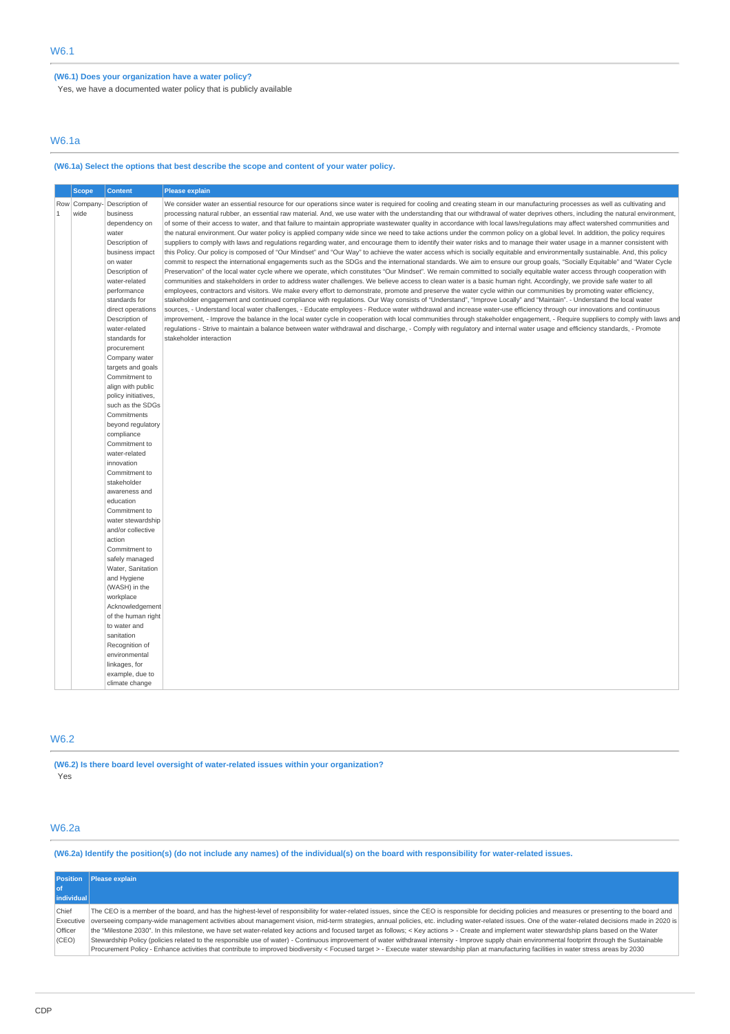## **(W6.1) Does your organization have a water policy?**

Yes, we have a documented water policy that is publicly available

## W6.1a

# **(W6.1a) Select the options that best describe the scope and content of your water policy.**

|              | <b>Scope</b> | <b>Content</b>                          | <b>Please explain</b>                                                                                                                                                                                                                                                                                                                                           |
|--------------|--------------|-----------------------------------------|-----------------------------------------------------------------------------------------------------------------------------------------------------------------------------------------------------------------------------------------------------------------------------------------------------------------------------------------------------------------|
|              | Row Company- | Description of                          | We consider water an essential resource for our operations since water is required for cooling and creating steam in our manufacturing processes as well as cultivating and                                                                                                                                                                                     |
| $\mathbf{1}$ | wide         | business                                | processing natural rubber, an essential raw material. And, we use water with the understanding that our withdrawal of water deprives others, including the natural environment,<br>of some of their access to water, and that failure to maintain appropriate wastewater quality in accordance with local laws/requlations may affect watershed communities and |
|              |              | dependency on<br>water                  | the natural environment. Our water policy is applied company wide since we need to take actions under the common policy on a global level. In addition, the policy requires                                                                                                                                                                                     |
|              |              | Description of                          | suppliers to comply with laws and regulations regarding water, and encourage them to identify their water risks and to manage their water usage in a manner consistent with                                                                                                                                                                                     |
|              |              | business impact                         | this Policy. Our policy is composed of "Our Mindset" and "Our Way" to achieve the water access which is socially equitable and environmentally sustainable. And, this policy                                                                                                                                                                                    |
|              |              | on water                                | commit to respect the international engagements such as the SDGs and the international standards. We aim to ensure our group goals, "Socially Equitable" and "Water Cycle                                                                                                                                                                                       |
|              |              | Description of                          | Preservation" of the local water cycle where we operate, which constitutes "Our Mindset". We remain committed to socially equitable water access through cooperation with                                                                                                                                                                                       |
|              |              | water-related                           | communities and stakeholders in order to address water challenges. We believe access to clean water is a basic human right. Accordingly, we provide safe water to all                                                                                                                                                                                           |
|              |              | performance                             | employees, contractors and visitors. We make every effort to demonstrate, promote and preserve the water cycle within our communities by promoting water efficiency,                                                                                                                                                                                            |
|              |              | standards for                           | stakeholder engagement and continued compliance with regulations. Our Way consists of "Understand", "Improve Locally" and "Maintain". - Understand the local water                                                                                                                                                                                              |
|              |              | direct operations<br>Description of     | sources, - Understand local water challenges, - Educate employees - Reduce water withdrawal and increase water-use efficiency through our innovations and continuous<br>improvement, - Improve the balance in the local water cycle in cooperation with local communities through stakeholder engagement, - Require suppliers to comply with laws and           |
|              |              | water-related                           | regulations - Strive to maintain a balance between water withdrawal and discharge, - Comply with regulatory and internal water usage and efficiency standards, - Promote                                                                                                                                                                                        |
|              |              | standards for                           | stakeholder interaction                                                                                                                                                                                                                                                                                                                                         |
|              |              | procurement                             |                                                                                                                                                                                                                                                                                                                                                                 |
|              |              | Company water                           |                                                                                                                                                                                                                                                                                                                                                                 |
|              |              | targets and goals                       |                                                                                                                                                                                                                                                                                                                                                                 |
|              |              | Commitment to                           |                                                                                                                                                                                                                                                                                                                                                                 |
|              |              | align with public                       |                                                                                                                                                                                                                                                                                                                                                                 |
|              |              | policy initiatives,<br>such as the SDGs |                                                                                                                                                                                                                                                                                                                                                                 |
|              |              | Commitments                             |                                                                                                                                                                                                                                                                                                                                                                 |
|              |              | beyond regulatory                       |                                                                                                                                                                                                                                                                                                                                                                 |
|              |              | compliance                              |                                                                                                                                                                                                                                                                                                                                                                 |
|              |              | Commitment to                           |                                                                                                                                                                                                                                                                                                                                                                 |
|              |              | water-related                           |                                                                                                                                                                                                                                                                                                                                                                 |
|              |              | innovation                              |                                                                                                                                                                                                                                                                                                                                                                 |
|              |              | Commitment to                           |                                                                                                                                                                                                                                                                                                                                                                 |
|              |              | stakeholder                             |                                                                                                                                                                                                                                                                                                                                                                 |
|              |              | awareness and<br>education              |                                                                                                                                                                                                                                                                                                                                                                 |
|              |              | Commitment to                           |                                                                                                                                                                                                                                                                                                                                                                 |
|              |              | water stewardship                       |                                                                                                                                                                                                                                                                                                                                                                 |
|              |              | and/or collective                       |                                                                                                                                                                                                                                                                                                                                                                 |
|              |              | action                                  |                                                                                                                                                                                                                                                                                                                                                                 |
|              |              | Commitment to                           |                                                                                                                                                                                                                                                                                                                                                                 |
|              |              | safely managed                          |                                                                                                                                                                                                                                                                                                                                                                 |
|              |              | Water, Sanitation                       |                                                                                                                                                                                                                                                                                                                                                                 |
|              |              | and Hygiene<br>(WASH) in the            |                                                                                                                                                                                                                                                                                                                                                                 |
|              |              | workplace                               |                                                                                                                                                                                                                                                                                                                                                                 |
|              |              | Acknowledgement                         |                                                                                                                                                                                                                                                                                                                                                                 |
|              |              | of the human right                      |                                                                                                                                                                                                                                                                                                                                                                 |
|              |              | to water and                            |                                                                                                                                                                                                                                                                                                                                                                 |
|              |              | sanitation                              |                                                                                                                                                                                                                                                                                                                                                                 |
|              |              | Recognition of                          |                                                                                                                                                                                                                                                                                                                                                                 |
|              |              | environmental                           |                                                                                                                                                                                                                                                                                                                                                                 |
|              |              | linkages, for                           |                                                                                                                                                                                                                                                                                                                                                                 |
|              |              | example, due to<br>climate change       |                                                                                                                                                                                                                                                                                                                                                                 |
|              |              |                                         |                                                                                                                                                                                                                                                                                                                                                                 |

## W6.2

**(W6.2) Is there board level oversight of water-related issues within your organization?** Yes

# W6.2a

**(W6.2a) Identify the position(s) (do not include any names) of the individual(s) on the board with responsibility for water-related issues.**

|                | Position Please explain                                                                                                                                                                                        |
|----------------|----------------------------------------------------------------------------------------------------------------------------------------------------------------------------------------------------------------|
| l of           |                                                                                                                                                                                                                |
| individual     |                                                                                                                                                                                                                |
| Chief          | The CEO is a member of the board, and has the highest-level of responsibility for water-related issues, since the CEO is responsible for deciding policies and measures or presenting to the board and         |
|                | Executive overseeing company-wide management activities about management vision, mid-term strategies, annual policies, etc. including water-related issues. One of the water-related decisions made in 2020 is |
| <b>Officer</b> | the "Milestone 2030". In this milestone, we have set water-related key actions and focused target as follows; < Key actions > - Create and implement water stewardship plans based on the Water                |
| (CEO)          | Stewardship Policy (policies related to the responsible use of water) - Continuous improvement of water withdrawal intensity - Improve supply chain environmental footprint through the Sustainable            |
|                | Procurement Policy - Enhance activities that contribute to improved biodiversity < Focused target > - Execute water stewardship plan at manufacturing facilities in water stress areas by 2030                 |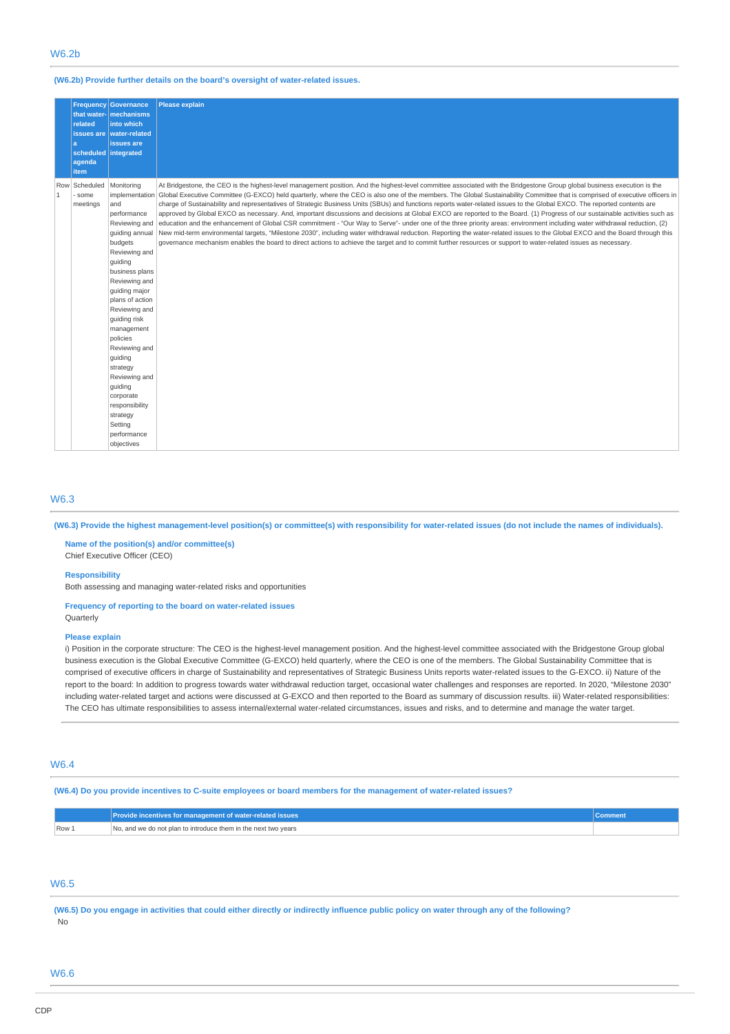#### **(W6.2b) Provide further details on the board's oversight of water-related issues.**

|                       | <b>Frequency</b><br>related<br>la<br>scheduled integrated<br>agenda | <b>Governance</b><br>that water- mechanisms<br>into which<br>issues are water-related<br>issues are                                                                                                                                                                                                                                                                                                                   | <b>Please explain</b>                                                                                                                                                                                                                                                                                                                                                                                                                                                                                                                                                                                                                                                                                                                                                                                                                                                                                                                                                                                                                                                                                                                                                                                                                               |
|-----------------------|---------------------------------------------------------------------|-----------------------------------------------------------------------------------------------------------------------------------------------------------------------------------------------------------------------------------------------------------------------------------------------------------------------------------------------------------------------------------------------------------------------|-----------------------------------------------------------------------------------------------------------------------------------------------------------------------------------------------------------------------------------------------------------------------------------------------------------------------------------------------------------------------------------------------------------------------------------------------------------------------------------------------------------------------------------------------------------------------------------------------------------------------------------------------------------------------------------------------------------------------------------------------------------------------------------------------------------------------------------------------------------------------------------------------------------------------------------------------------------------------------------------------------------------------------------------------------------------------------------------------------------------------------------------------------------------------------------------------------------------------------------------------------|
|                       | item                                                                |                                                                                                                                                                                                                                                                                                                                                                                                                       |                                                                                                                                                                                                                                                                                                                                                                                                                                                                                                                                                                                                                                                                                                                                                                                                                                                                                                                                                                                                                                                                                                                                                                                                                                                     |
| Row<br>$\overline{1}$ | Scheduled<br>some<br>meetings                                       | Monitoring<br>implementation<br>and<br>performance<br>Reviewing and<br>quiding annual<br>budgets<br>Reviewing and<br>quiding<br>business plans<br>Reviewing and<br>guiding major<br>plans of action<br>Reviewing and<br>quiding risk<br>management<br>policies<br>Reviewing and<br>guiding<br>strategy<br>Reviewing and<br>quiding<br>corporate<br>responsibility<br>strategy<br>Setting<br>performance<br>objectives | At Bridgestone, the CEO is the highest-level management position. And the highest-level committee associated with the Bridgestone Group global business execution is the<br>Global Executive Committee (G-EXCO) held quarterly, where the CEO is also one of the members. The Global Sustainability Committee that is comprised of executive officers in<br>charge of Sustainability and representatives of Strategic Business Units (SBUs) and functions reports water-related issues to the Global EXCO. The reported contents are<br>approved by Global EXCO as necessary. And, important discussions and decisions at Global EXCO are reported to the Board. (1) Progress of our sustainable activities such as<br>education and the enhancement of Global CSR commitment - "Our Way to Serve"- under one of the three priority areas: environment including water withdrawal reduction, (2)<br>New mid-term environmental targets, "Milestone 2030", including water withdrawal reduction. Reporting the water-related issues to the Global EXCO and the Board through this<br>governance mechanism enables the board to direct actions to achieve the target and to commit further resources or support to water-related issues as necessary. |

### W6.3

**(W6.3) Provide the highest management-level position(s) or committee(s) with responsibility for water-related issues (do not include the names of individuals).**

**Name of the position(s) and/or committee(s)** Chief Executive Officer (CEO)

#### **Responsibility**

Both assessing and managing water-related risks and opportunities

**Frequency of reporting to the board on water-related issues Ouarterly** 

### **Please explain**

i) Position in the corporate structure: The CEO is the highest-level management position. And the highest-level committee associated with the Bridgestone Group global business execution is the Global Executive Committee (G-EXCO) held quarterly, where the CEO is one of the members. The Global Sustainability Committee that is comprised of executive officers in charge of Sustainability and representatives of Strategic Business Units reports water-related issues to the G-EXCO. ii) Nature of the report to the board: In addition to progress towards water withdrawal reduction target, occasional water challenges and responses are reported. In 2020, "Milestone 2030" including water-related target and actions were discussed at G-EXCO and then reported to the Board as summary of discussion results. iii) Water-related responsibilities: The CEO has ultimate responsibilities to assess internal/external water-related circumstances, issues and risks, and to determine and manage the water target.

### W6.4

**(W6.4) Do you provide incentives to C-suite employees or board members for the management of water-related issues?**

|       | Provide incentives for management of water-related issues      | Comment |
|-------|----------------------------------------------------------------|---------|
| Row 1 | No, and we do not plan to introduce them in the next two years |         |

## W6.5

**(W6.5) Do you engage in activities that could either directly or indirectly influence public policy on water through any of the following?** No

# W6.6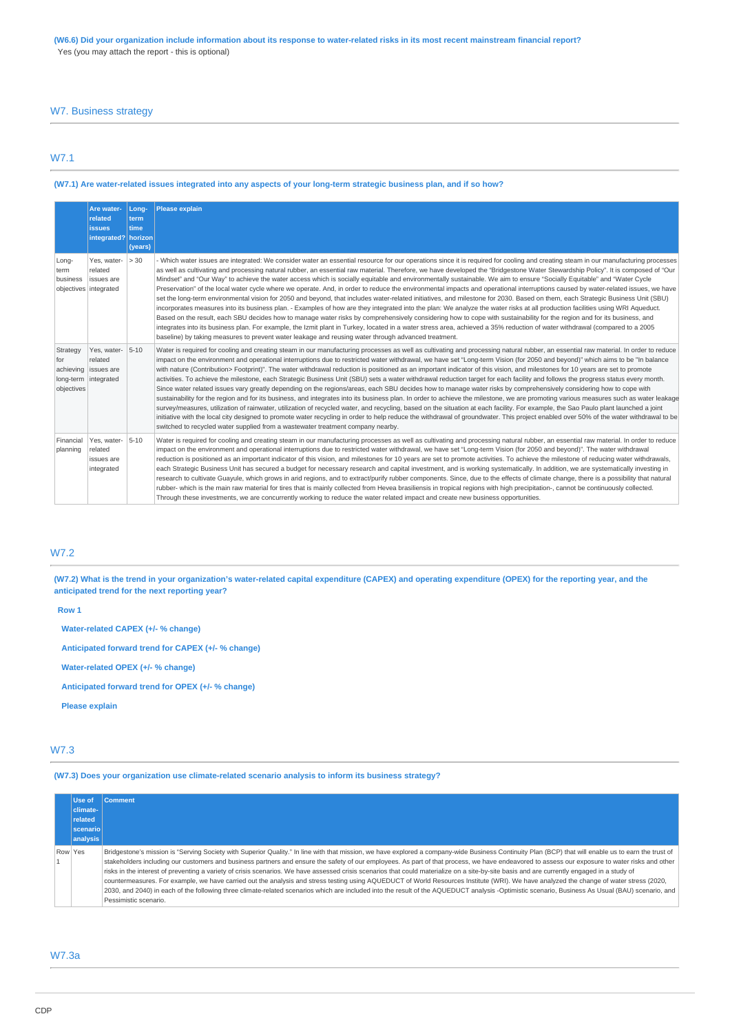## W7. Business strategy

# W7.1

## **(W7.1) Are water-related issues integrated into any aspects of your long-term strategic business plan, and if so how?**

|                                            | Are water-<br>related                                         | Long-<br>term      | <b>Please explain</b>                                                                                                                                                                                                                                                                                                                                                                                                                                                                                                                                                                                                                                                                                                                                                                                                                                                                                                                                                                                                                                                                                                                                                                                                                                                                                                                                                                                                                                                                                                                                                       |
|--------------------------------------------|---------------------------------------------------------------|--------------------|-----------------------------------------------------------------------------------------------------------------------------------------------------------------------------------------------------------------------------------------------------------------------------------------------------------------------------------------------------------------------------------------------------------------------------------------------------------------------------------------------------------------------------------------------------------------------------------------------------------------------------------------------------------------------------------------------------------------------------------------------------------------------------------------------------------------------------------------------------------------------------------------------------------------------------------------------------------------------------------------------------------------------------------------------------------------------------------------------------------------------------------------------------------------------------------------------------------------------------------------------------------------------------------------------------------------------------------------------------------------------------------------------------------------------------------------------------------------------------------------------------------------------------------------------------------------------------|
|                                            | <b>issues</b>                                                 | time               |                                                                                                                                                                                                                                                                                                                                                                                                                                                                                                                                                                                                                                                                                                                                                                                                                                                                                                                                                                                                                                                                                                                                                                                                                                                                                                                                                                                                                                                                                                                                                                             |
|                                            | integrated?                                                   | horizon<br>(years) |                                                                                                                                                                                                                                                                                                                                                                                                                                                                                                                                                                                                                                                                                                                                                                                                                                                                                                                                                                                                                                                                                                                                                                                                                                                                                                                                                                                                                                                                                                                                                                             |
| Long-<br>term<br>business                  | Yes, water-<br>related<br>issues are<br>objectives integrated | > 30               | - Which water issues are integrated: We consider water an essential resource for our operations since it is required for cooling and creating steam in our manufacturing processes<br>as well as cultivating and processing natural rubber, an essential raw material. Therefore, we have developed the "Bridgestone Water Stewardship Policy". It is composed of "Our<br>Mindset" and "Our Way" to achieve the water access which is socially equitable and environmentally sustainable. We aim to ensure "Socially Equitable" and "Water Cycle<br>Preservation" of the local water cycle where we operate. And, in order to reduce the environmental impacts and operational interruptions caused by water-related issues, we have<br>set the long-term environmental vision for 2050 and beyond, that includes water-related initiatives, and milestone for 2030. Based on them, each Strategic Business Unit (SBU)<br>incorporates measures into its business plan. - Examples of how are they integrated into the plan: We analyze the water risks at all production facilities using WRI Aqueduct.<br>Based on the result, each SBU decides how to manage water risks by comprehensively considering how to cope with sustainability for the region and for its business, and<br>integrates into its business plan. For example, the Izmit plant in Turkey, located in a water stress area, achieved a 35% reduction of water withdrawal (compared to a 2005<br>baseline) by taking measures to prevent water leakage and reusing water through advanced treatment.   |
| Strategy<br>for<br>achieving<br>objectives | Yes, water-<br>related<br>issues are<br>long-term integrated  | $5 - 10$           | Water is required for cooling and creating steam in our manufacturing processes as well as cultivating and processing natural rubber, an essential raw material. In order to reduce<br>impact on the environment and operational interruptions due to restricted water withdrawal, we have set "Long-term Vision (for 2050 and beyond)" which aims to be "In balance<br>with nature (Contribution> Footprint)". The water withdrawal reduction is positioned as an important indicator of this vision, and milestones for 10 years are set to promote<br>activities. To achieve the milestone, each Strategic Business Unit (SBU) sets a water withdrawal reduction target for each facility and follows the progress status every month.<br>Since water related issues vary greatly depending on the regions/areas, each SBU decides how to manage water risks by comprehensively considering how to cope with<br>sustainability for the region and for its business, and integrates into its business plan. In order to achieve the milestone, we are promoting various measures such as water leakage<br>survey/measures, utilization of rainwater, utilization of recycled water, and recycling, based on the situation at each facility. For example, the Sao Paulo plant launched a joint<br>initiative with the local city designed to promote water recycling in order to help reduce the withdrawal of groundwater. This project enabled over 50% of the water withdrawal to be<br>switched to recycled water supplied from a wastewater treatment company nearby. |
| Financial<br>planning                      | Yes, water-<br>related<br>issues are<br>integrated            | $5 - 10$           | Water is required for cooling and creating steam in our manufacturing processes as well as cultivating and processing natural rubber, an essential raw material. In order to reduce<br>impact on the environment and operational interruptions due to restricted water withdrawal, we have set "Long-term Vision (for 2050 and beyond)". The water withdrawal<br>reduction is positioned as an important indicator of this vision, and milestones for 10 years are set to promote activities. To achieve the milestone of reducing water withdrawals,<br>each Strategic Business Unit has secured a budget for necessary research and capital investment, and is working systematically. In addition, we are systematically investing in<br>research to cultivate Guayule, which grows in arid regions, and to extract/purify rubber components. Since, due to the effects of climate change, there is a possibility that natural<br>rubber- which is the main raw material for tires that is mainly collected from Hevea brasiliensis in tropical regions with high precipitation-, cannot be continuously collected.<br>Through these investments, we are concurrently working to reduce the water related impact and create new business opportunities.                                                                                                                                                                                                                                                                                                                  |

# W7.2

**(W7.2) What is the trend in your organization's water-related capital expenditure (CAPEX) and operating expenditure (OPEX) for the reporting year, and the anticipated trend for the next reporting year?**

**Row 1**

**Water-related CAPEX (+/- % change)**

**Anticipated forward trend for CAPEX (+/- % change)**

**Water-related OPEX (+/- % change)**

**Anticipated forward trend for OPEX (+/- % change)**

**Please explain**

## W7.3

**(W7.3) Does your organization use climate-related scenario analysis to inform its business strategy?**

|         | Use of<br>climate-<br>related<br><b>Scenario</b><br>analysis | <b>Comment</b>                                                                                                                                                                                                                                                                                                                                                                                                                                                                                                                                                                                                                                                                                                                                                                                                                                                                                                                                                                                                                |
|---------|--------------------------------------------------------------|-------------------------------------------------------------------------------------------------------------------------------------------------------------------------------------------------------------------------------------------------------------------------------------------------------------------------------------------------------------------------------------------------------------------------------------------------------------------------------------------------------------------------------------------------------------------------------------------------------------------------------------------------------------------------------------------------------------------------------------------------------------------------------------------------------------------------------------------------------------------------------------------------------------------------------------------------------------------------------------------------------------------------------|
| Row Yes |                                                              | Bridgestone's mission is "Serving Society with Superior Quality." In line with that mission, we have explored a company-wide Business Continuity Plan (BCP) that will enable us to earn the trust of<br>stakeholders including our customers and business partners and ensure the safety of our employees. As part of that process, we have endeavored to assess our exposure to water risks and other<br>risks in the interest of preventing a variety of crisis scenarios. We have assessed crisis scenarios that could materialize on a site-by-site basis and are currently engaged in a study of<br>countermeasures. For example, we have carried out the analysis and stress testing using AQUEDUCT of World Resources Institute (WRI). We have analyzed the change of water stress (2020,<br>2030, and 2040) in each of the following three climate-related scenarios which are included into the result of the AQUEDUCT analysis -Optimistic scenario, Business As Usual (BAU) scenario, and<br>Pessimistic scenario. |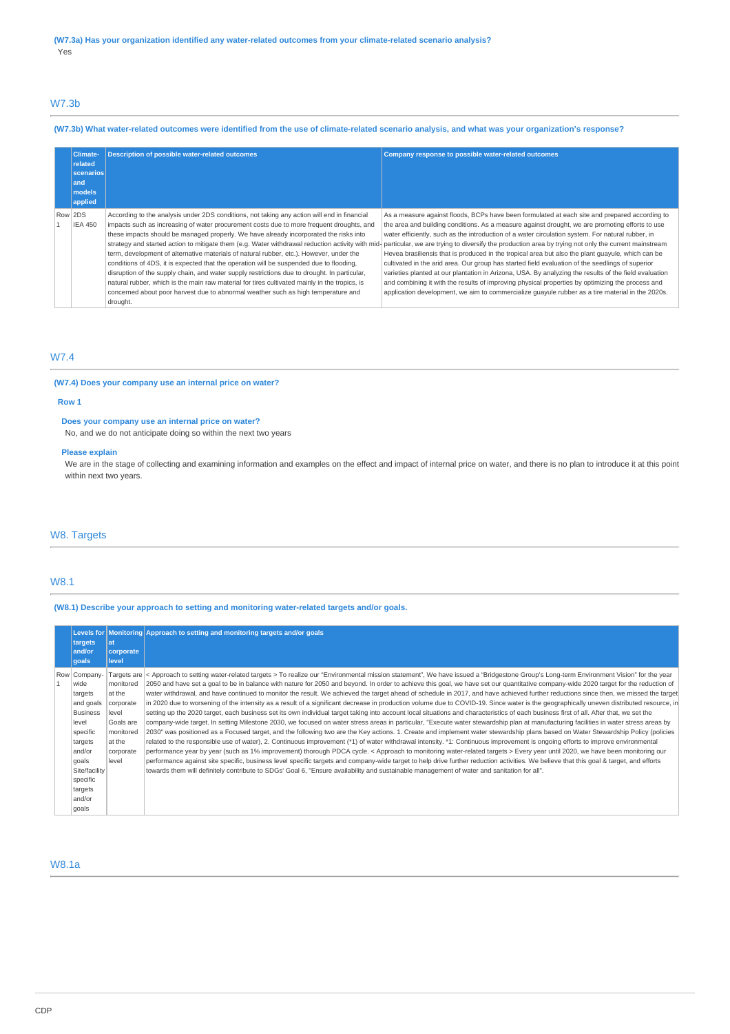## W7.3b

## **(W7.3b) What water-related outcomes were identified from the use of climate-related scenario analysis, and what was your organization's response?**

| <b>Climate-</b><br>related<br><b>scenarios</b><br>land<br>models<br>applied | <b>Description of possible water-related outcomes</b>                                                                                                                                                                                                                                                                                                                                                                                                                                                                                                                                                                                                                                                                                                                    | Company response to possible water-related outcomes                                                                                                                                                                                                                                                                                                                                                                                                                                                                                                                                                                                                                                                                                                                                                                                                                                                                                                                                                                                      |
|-----------------------------------------------------------------------------|--------------------------------------------------------------------------------------------------------------------------------------------------------------------------------------------------------------------------------------------------------------------------------------------------------------------------------------------------------------------------------------------------------------------------------------------------------------------------------------------------------------------------------------------------------------------------------------------------------------------------------------------------------------------------------------------------------------------------------------------------------------------------|------------------------------------------------------------------------------------------------------------------------------------------------------------------------------------------------------------------------------------------------------------------------------------------------------------------------------------------------------------------------------------------------------------------------------------------------------------------------------------------------------------------------------------------------------------------------------------------------------------------------------------------------------------------------------------------------------------------------------------------------------------------------------------------------------------------------------------------------------------------------------------------------------------------------------------------------------------------------------------------------------------------------------------------|
| Row 2DS<br><b>IEA 450</b>                                                   | According to the analysis under 2DS conditions, not taking any action will end in financial<br>impacts such as increasing of water procurement costs due to more frequent droughts, and<br>these impacts should be managed properly. We have already incorporated the risks into<br>term, development of alternative materials of natural rubber, etc.). However, under the<br>conditions of 4DS, it is expected that the operation will be suspended due to flooding,<br>disruption of the supply chain, and water supply restrictions due to drought. In particular,<br>natural rubber, which is the main raw material for tires cultivated mainly in the tropics, is<br>concerned about poor harvest due to abnormal weather such as high temperature and<br>drought. | As a measure against floods, BCPs have been formulated at each site and prepared according to<br>the area and building conditions. As a measure against drought, we are promoting efforts to use<br>water efficiently, such as the introduction of a water circulation system. For natural rubber, in<br>strategy and started action to mitigate them (e.g. Water withdrawal reduction activity with mid- particular, we are trying to diversify the production area by trying not only the current mainstream<br>Hevea brasiliensis that is produced in the tropical area but also the plant quayule, which can be<br>cultivated in the arid area. Our group has started field evaluation of the seedlings of superior<br>varieties planted at our plantation in Arizona, USA. By analyzing the results of the field evaluation<br>and combining it with the results of improving physical properties by optimizing the process and<br>application development, we aim to commercialize guayule rubber as a tire material in the 2020s. |

# W7.4

### **(W7.4) Does your company use an internal price on water?**

#### **Row 1**

#### **Does your company use an internal price on water?**

No, and we do not anticipate doing so within the next two years

### **Please explain**

We are in the stage of collecting and examining information and examples on the effect and impact of internal price on water, and there is no plan to introduce it at this point within next two years.

## W8. Targets

### W8.1

**(W8.1) Describe your approach to setting and monitoring water-related targets and/or goals.**

| targets<br>and/or<br>goals                                                                                                                                                    | lat<br>corporate<br>level                                                                           | Levels for Monitoring Approach to setting and monitoring targets and/or goals                                                                                                                                                                                                                                                                                                                                                                                                                                                                                                                                                                                                                                                                                                                                                                                                                                                                                                                                                                                                                                                                                                                                                                                                                                                                                                                                                                                                                                                                                                                                                                                                                                                                                                                                                                                                                                                                                                                                                                        |
|-------------------------------------------------------------------------------------------------------------------------------------------------------------------------------|-----------------------------------------------------------------------------------------------------|------------------------------------------------------------------------------------------------------------------------------------------------------------------------------------------------------------------------------------------------------------------------------------------------------------------------------------------------------------------------------------------------------------------------------------------------------------------------------------------------------------------------------------------------------------------------------------------------------------------------------------------------------------------------------------------------------------------------------------------------------------------------------------------------------------------------------------------------------------------------------------------------------------------------------------------------------------------------------------------------------------------------------------------------------------------------------------------------------------------------------------------------------------------------------------------------------------------------------------------------------------------------------------------------------------------------------------------------------------------------------------------------------------------------------------------------------------------------------------------------------------------------------------------------------------------------------------------------------------------------------------------------------------------------------------------------------------------------------------------------------------------------------------------------------------------------------------------------------------------------------------------------------------------------------------------------------------------------------------------------------------------------------------------------------|
| Row Company-<br>wide<br>targets<br>and goals<br><b>Business</b><br>level<br>specific<br>targets<br>and/or<br>goals<br>Site/facility<br>specific<br>targets<br>and/or<br>goals | monitored<br>at the<br>corporate<br>level<br>Goals are<br>monitored<br>at the<br>corporate<br>level | Targets are < Approach to setting water-related targets > To realize our "Environmental mission statement", We have issued a "Bridgestone Group's Long-term Environment Vision" for the year<br>2050 and have set a goal to be in balance with nature for 2050 and beyond. In order to achieve this goal, we have set our quantitative company-wide 2020 target for the reduction of<br>water withdrawal, and have continued to monitor the result. We achieved the target ahead of schedule in 2017, and have achieved further reductions since then, we missed the target<br>in 2020 due to worsening of the intensity as a result of a significant decrease in production volume due to COVID-19. Since water is the geographically uneven distributed resource, in<br>setting up the 2020 target, each business set its own individual target taking into account local situations and characteristics of each business first of all. After that, we set the<br>company-wide target. In setting Milestone 2030, we focused on water stress areas in particular, "Execute water stewardship plan at manufacturing facilities in water stress areas by<br>2030" was positioned as a Focused target, and the following two are the Key actions. 1. Create and implement water stewardship plans based on Water Stewardship Policy (policies<br>related to the responsible use of water), 2. Continuous improvement (*1) of water withdrawal intensity. *1: Continuous improvement is ongoing efforts to improve environmental<br>performance year by year (such as 1% improvement) thorough PDCA cycle. < Approach to monitoring water-related targets > Every year until 2020, we have been monitoring our<br>performance against site specific, business level specific targets and company-wide target to help drive further reduction activities. We believe that this goal & target, and efforts<br>towards them will definitely contribute to SDGs' Goal 6, "Ensure availability and sustainable management of water and sanitation for all". |

## W8.1a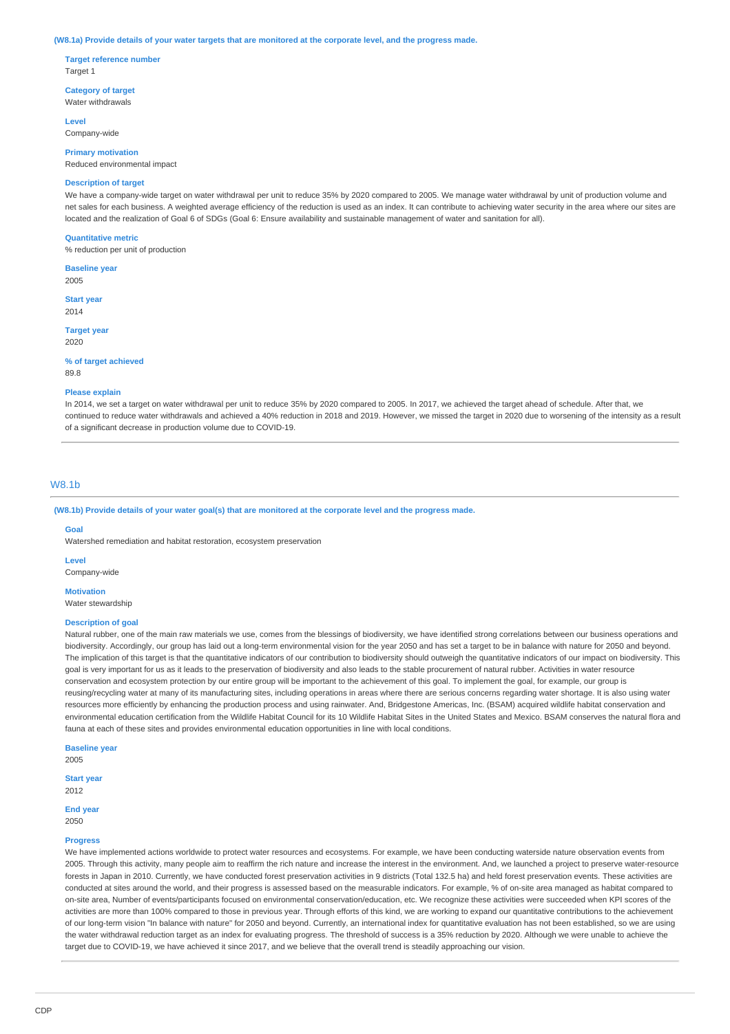#### **(W8.1a) Provide details of your water targets that are monitored at the corporate level, and the progress made.**

**Target reference number** Target 1

**Category of target** Water withdrawals

**Level** Company-wide

**Primary motivation**

Reduced environmental impact

## **Description of target**

We have a company-wide target on water withdrawal per unit to reduce 35% by 2020 compared to 2005. We manage water withdrawal by unit of production volume and net sales for each business. A weighted average efficiency of the reduction is used as an index. It can contribute to achieving water security in the area where our sites are located and the realization of Goal 6 of SDGs (Goal 6: Ensure availability and sustainable management of water and sanitation for all).

#### **Quantitative metric**

% reduction per unit of production

**Baseline year** 2005

**Start year** 2014

**Target year** 2020

#### **% of target achieved**

89.8

#### **Please explain**

In 2014, we set a target on water withdrawal per unit to reduce 35% by 2020 compared to 2005. In 2017, we achieved the target ahead of schedule. After that, we continued to reduce water withdrawals and achieved a 40% reduction in 2018 and 2019. However, we missed the target in 2020 due to worsening of the intensity as a result of a significant decrease in production volume due to COVID-19.

## W8.1b

**(W8.1b) Provide details of your water goal(s) that are monitored at the corporate level and the progress made.**

#### **Goal**

Watershed remediation and habitat restoration, ecosystem preservation

**Level**

Company-wide

**Motivation** Water stewardshir

#### **Description of goal**

Natural rubber, one of the main raw materials we use, comes from the blessings of biodiversity, we have identified strong correlations between our business operations and biodiversity. Accordingly, our group has laid out a long-term environmental vision for the year 2050 and has set a target to be in balance with nature for 2050 and beyond. The implication of this target is that the quantitative indicators of our contribution to biodiversity should outweigh the quantitative indicators of our impact on biodiversity. This goal is very important for us as it leads to the preservation of biodiversity and also leads to the stable procurement of natural rubber. Activities in water resource conservation and ecosystem protection by our entire group will be important to the achievement of this goal. To implement the goal, for example, our group is reusing/recycling water at many of its manufacturing sites, including operations in areas where there are serious concerns regarding water shortage. It is also using water resources more efficiently by enhancing the production process and using rainwater. And, Bridgestone Americas, Inc. (BSAM) acquired wildlife habitat conservation and environmental education certification from the Wildlife Habitat Council for its 10 Wildlife Habitat Sites in the United States and Mexico. BSAM conserves the natural flora and fauna at each of these sites and provides environmental education opportunities in line with local conditions.

**Baseline year**

2005

**Start year** 2012

### **End year**

2050

#### **Progress**

We have implemented actions worldwide to protect water resources and ecosystems. For example, we have been conducting waterside nature observation events from 2005. Through this activity, many people aim to reaffirm the rich nature and increase the interest in the environment. And, we launched a project to preserve water-resource forests in Japan in 2010. Currently, we have conducted forest preservation activities in 9 districts (Total 132.5 ha) and held forest preservation events. These activities are conducted at sites around the world, and their progress is assessed based on the measurable indicators. For example, % of on-site area managed as habitat compared to on-site area, Number of events/participants focused on environmental conservation/education, etc. We recognize these activities were succeeded when KPI scores of the activities are more than 100% compared to those in previous year. Through efforts of this kind, we are working to expand our quantitative contributions to the achievement of our long-term vision "In balance with nature" for 2050 and beyond. Currently, an international index for quantitative evaluation has not been established, so we are using the water withdrawal reduction target as an index for evaluating progress. The threshold of success is a 35% reduction by 2020. Although we were unable to achieve the target due to COVID-19, we have achieved it since 2017, and we believe that the overall trend is steadily approaching our vision.